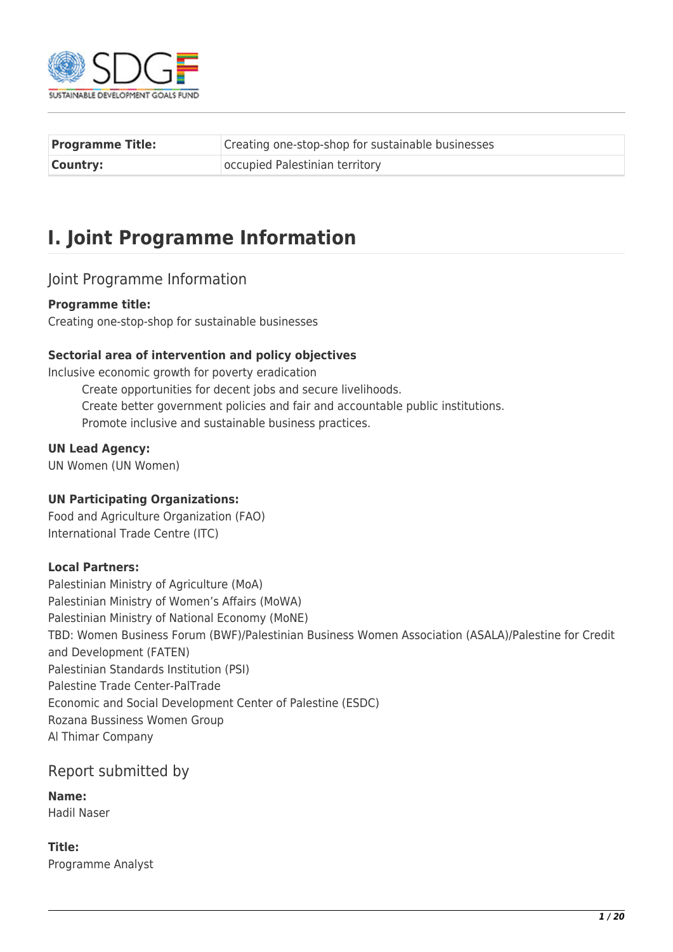

| <b>Programme Title:</b> | Creating one-stop-shop for sustainable businesses |  |  |  |
|-------------------------|---------------------------------------------------|--|--|--|
| <b>Country:</b>         | occupied Palestinian territory                    |  |  |  |

# **I. Joint Programme Information**

## Joint Programme Information

### **Programme title:**

Creating one-stop-shop for sustainable businesses

### **Sectorial area of intervention and policy objectives**

Inclusive economic growth for poverty eradication Create opportunities for decent jobs and secure livelihoods. Create better government policies and fair and accountable public institutions. Promote inclusive and sustainable business practices.

#### **UN Lead Agency:**

UN Women (UN Women)

### **UN Participating Organizations:**

Food and Agriculture Organization (FAO) International Trade Centre (ITC)

#### **Local Partners:**

Palestinian Ministry of Agriculture (MoA) Palestinian Ministry of Women's Affairs (MoWA) Palestinian Ministry of National Economy (MoNE) TBD: Women Business Forum (BWF)/Palestinian Business Women Association (ASALA)/Palestine for Credit and Development (FATEN) Palestinian Standards Institution (PSI) Palestine Trade Center-PalTrade Economic and Social Development Center of Palestine (ESDC) Rozana Bussiness Women Group Al Thimar Company

## Report submitted by

**Name:**  Hadil Naser

**Title:**  Programme Analyst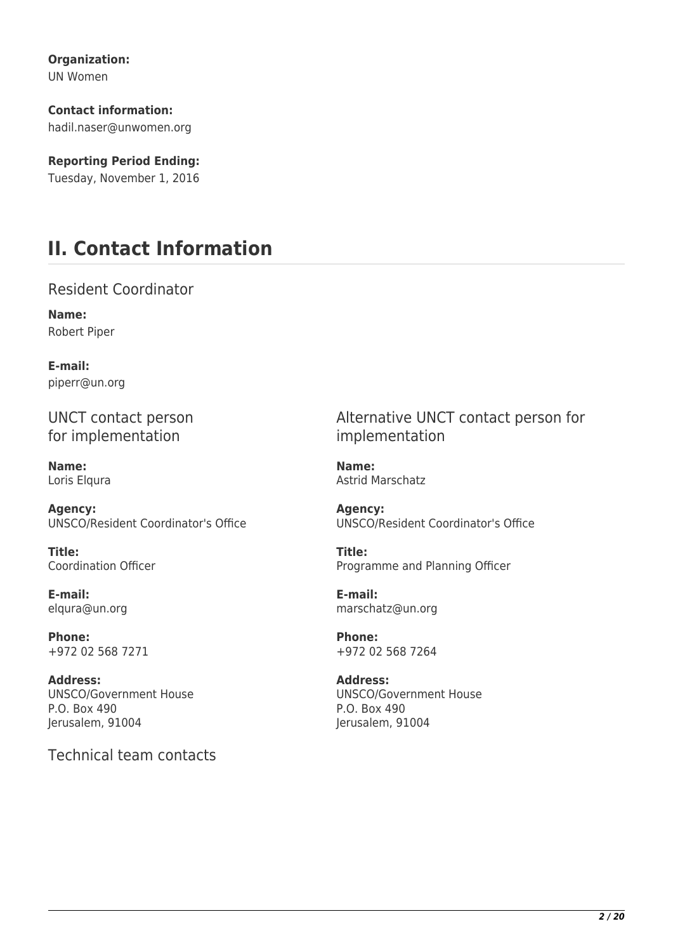**Organization:** 

UN Women

**Contact information:**  hadil.naser@unwomen.org

**Reporting Period Ending:**  Tuesday, November 1, 2016

# **II. Contact Information**

Resident Coordinator

**Name:**  Robert Piper

**E-mail:**  piperr@un.org

UNCT contact person for implementation

**Name:**  Loris Elqura

**Agency:**  UNSCO/Resident Coordinator's Office

**Title:**  Coordination Officer

**E-mail:**  elqura@un.org

**Phone:**  +972 02 568 7271

**Address:**  UNSCO/Government House P.O. Box 490 Jerusalem, 91004

Technical team contacts

Alternative UNCT contact person for implementation

**Name:**  Astrid Marschatz

**Agency:**  UNSCO/Resident Coordinator's Office

**Title:**  Programme and Planning Officer

**E-mail:**  marschatz@un.org

**Phone:**  +972 02 568 7264

**Address:**  UNSCO/Government House P.O. Box 490 Jerusalem, 91004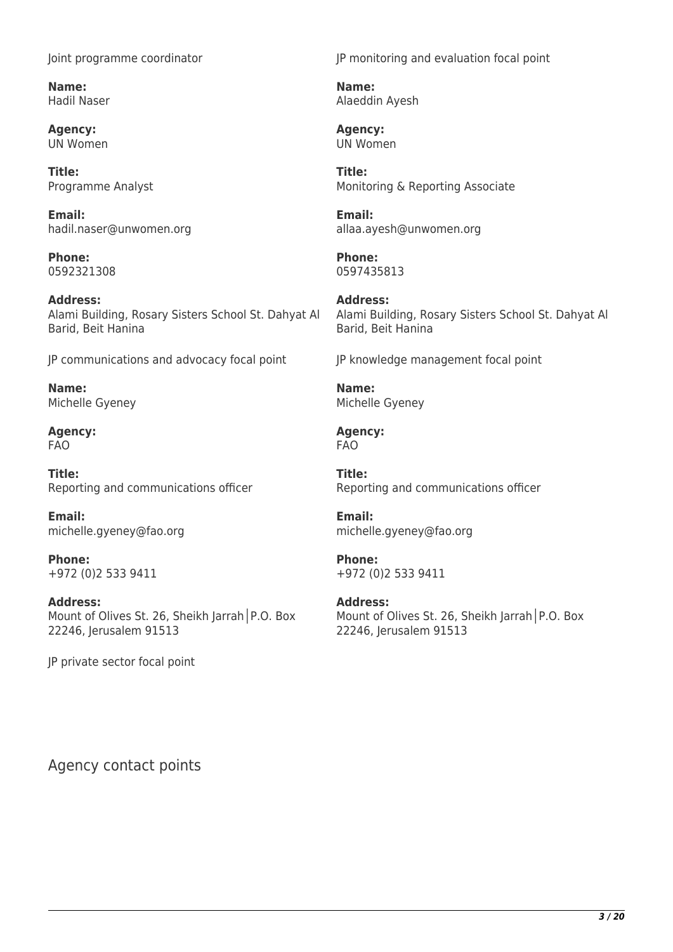Joint programme coordinator

**Name:**  Hadil Naser

**Agency:**  UN Women

**Title:**  Programme Analyst

**Email:**  hadil.naser@unwomen.org

**Phone:**  0592321308

**Address:**  Alami Building, Rosary Sisters School St. Dahyat Al Barid, Beit Hanina

JP communications and advocacy focal point

**Name:**  Michelle Gyeney

**Agency:**  FAO

**Title:**  Reporting and communications officer

**Email:**  michelle.gyeney@fao.org

**Phone:**  +972 (0)2 533 9411

**Address:**  Mount of Olives St. 26, Sheikh Jarrah│P.O. Box 22246, Jerusalem 91513

JP private sector focal point

JP monitoring and evaluation focal point

**Name:**  Alaeddin Ayesh

**Agency:**  UN Women

**Title:**  Monitoring & Reporting Associate

**Email:**  allaa.ayesh@unwomen.org

**Phone:**  0597435813

**Address:**  Alami Building, Rosary Sisters School St. Dahyat Al Barid, Beit Hanina

JP knowledge management focal point

**Name:**  Michelle Gyeney

**Agency:**  FAO

**Title:**  Reporting and communications officer

**Email:**  michelle.gyeney@fao.org

**Phone:**  +972 (0)2 533 9411

**Address:**  Mount of Olives St. 26, Sheikh Jarrah│P.O. Box 22246, Jerusalem 91513

Agency contact points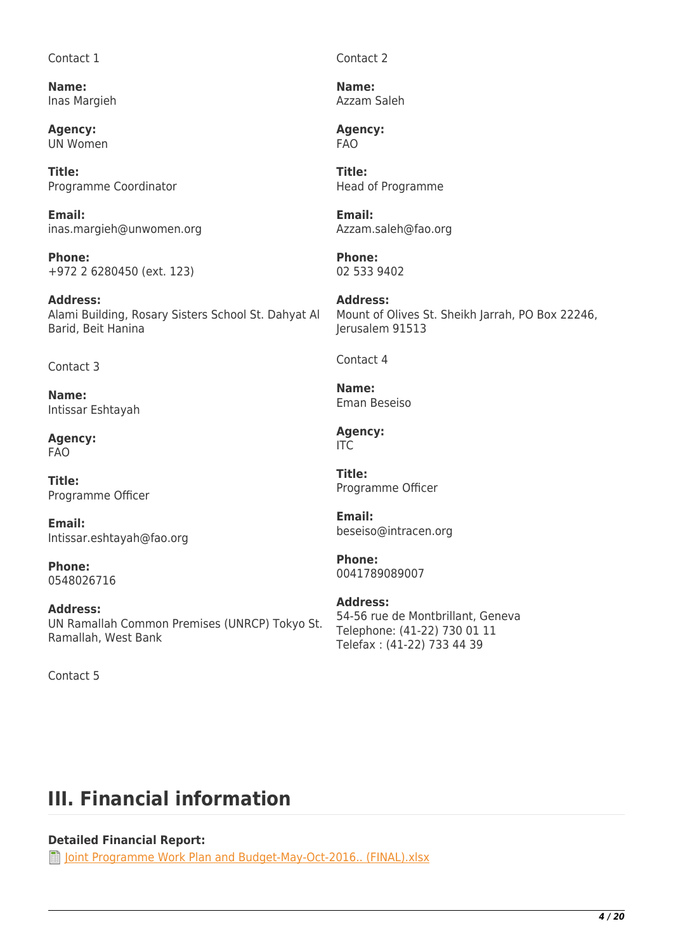#### Contact 1

**Name:**  Inas Margieh

**Agency:**  UN Women

**Title:**  Programme Coordinator

**Email:**  inas.margieh@unwomen.org

**Phone:**  +972 2 6280450 (ext. 123)

**Address:**  Alami Building, Rosary Sisters School St. Dahyat Al Barid, Beit Hanina

#### Contact 3

**Name:**  Intissar Eshtayah

**Agency:**  FAO

**Title:**  Programme Officer

**Email:**  Intissar.eshtayah@fao.org

**Phone:**  0548026716

**Address:**  UN Ramallah Common Premises (UNRCP) Tokyo St. Ramallah, West Bank

Contact 5

Contact 2

**Name:**  Azzam Saleh

**Agency:**  FAO

**Title:**  Head of Programme

**Email:**  Azzam.saleh@fao.org

**Phone:**  02 533 9402

**Address:**  Mount of Olives St. Sheikh Jarrah, PO Box 22246, Jerusalem 91513

Contact 4

**Name:**  Eman Beseiso

**Agency:**  ITC

**Title:**  Programme Officer

**Email:**  beseiso@intracen.org

**Phone:**  0041789089007

**Address:**  54-56 rue de Montbrillant, Geneva Telephone: (41-22) 730 01 11 Telefax : (41-22) 733 44 39

# **III. Financial information**

## **Detailed Financial Report:**

**T** [Joint Programme Work Plan and Budget-May-Oct-2016.. \(FINAL\).xlsx](http://proposals.sdgfund.org/system/files/report-attachments/Joint%20Programme%20Work%20Plan%20and%20Budget-May-Oct-2016..%20%28FINAL%29_0.xlsx)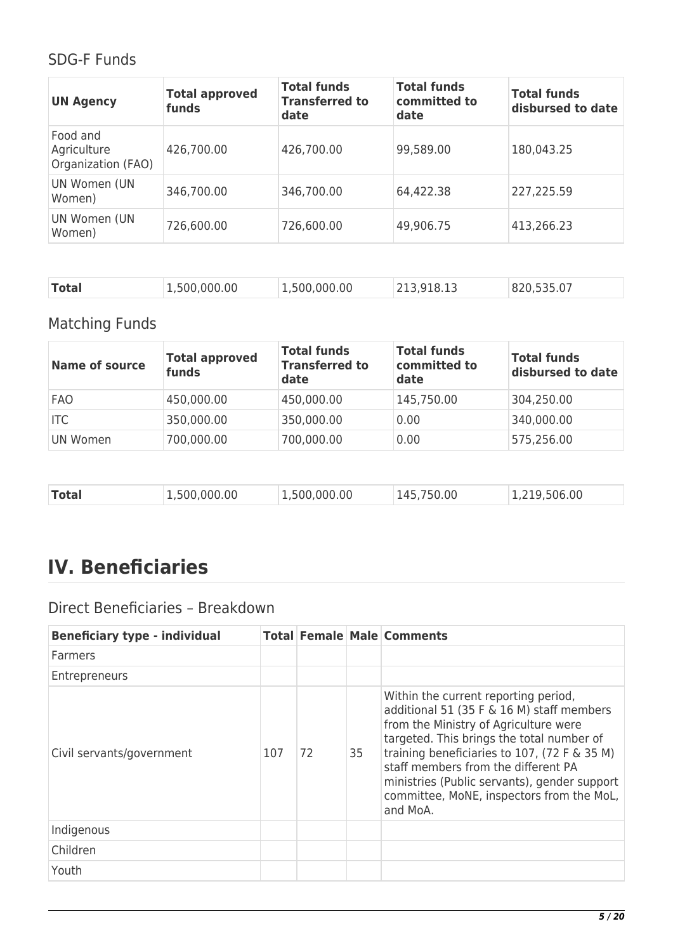## SDG-F Funds

| <b>UN Agency</b>                              | <b>Total approved</b><br>funds | <b>Total funds</b><br><b>Transferred to</b><br>date | <b>Total funds</b><br>committed to<br>date | <b>Total funds</b><br>disbursed to date |
|-----------------------------------------------|--------------------------------|-----------------------------------------------------|--------------------------------------------|-----------------------------------------|
| Food and<br>Agriculture<br>Organization (FAO) | 426,700.00                     | 426,700.00                                          | 99,589.00                                  | 180,043.25                              |
| UN Women (UN<br>Women)                        | 346,700.00                     | 346,700.00                                          | 64,422.38                                  | 227,225.59                              |
| UN Women (UN<br>Women)                        | 726,600.00                     | 726,600.00                                          | 49,906.75                                  | 413,266.23                              |

| <b>Total</b><br>1,500,000.00<br>1,500,000.00<br>820,535.07<br>213,918.13 |  |
|--------------------------------------------------------------------------|--|
|--------------------------------------------------------------------------|--|

## Matching Funds

| <b>Name of source</b> | <b>Total approved</b><br>funds | <b>Total funds</b><br><b>Transferred to</b><br>date | <b>Total funds</b><br>committed to<br>date | <b>Total funds</b><br>disbursed to date |
|-----------------------|--------------------------------|-----------------------------------------------------|--------------------------------------------|-----------------------------------------|
| <b>FAO</b>            | 450,000.00                     | 450,000.00                                          | 145,750.00                                 | 304,250.00                              |
| <b>ITC</b>            | 350,000.00                     | 350,000.00                                          | 0.00                                       | 340,000.00                              |
| UN Women              | 700,000.00                     | 700,000.00                                          | 0.00                                       | 575,256.00                              |

| <b>Total</b><br>1,500,000.00<br>1,219,506.00<br>1,500,000.00<br>145,750.00 |  |
|----------------------------------------------------------------------------|--|
|----------------------------------------------------------------------------|--|

# **IV. Beneficiaries**

## Direct Beneficiaries – Breakdown

| <b>Beneficiary type - individual</b> |     |    |    | <b>Total Female Male Comments</b>                                                                                                                                                                                                                                                                                                                                       |
|--------------------------------------|-----|----|----|-------------------------------------------------------------------------------------------------------------------------------------------------------------------------------------------------------------------------------------------------------------------------------------------------------------------------------------------------------------------------|
| Farmers                              |     |    |    |                                                                                                                                                                                                                                                                                                                                                                         |
| Entrepreneurs                        |     |    |    |                                                                                                                                                                                                                                                                                                                                                                         |
| Civil servants/government            | 107 | 72 | 35 | Within the current reporting period,<br>additional 51 (35 F & 16 M) staff members<br>from the Ministry of Agriculture were<br>targeted. This brings the total number of<br>training beneficiaries to 107, (72 F & 35 M)<br>staff members from the different PA<br>ministries (Public servants), gender support<br>committee, MoNE, inspectors from the MoL,<br>and MoA. |
| Indigenous                           |     |    |    |                                                                                                                                                                                                                                                                                                                                                                         |
| Children                             |     |    |    |                                                                                                                                                                                                                                                                                                                                                                         |
| Youth                                |     |    |    |                                                                                                                                                                                                                                                                                                                                                                         |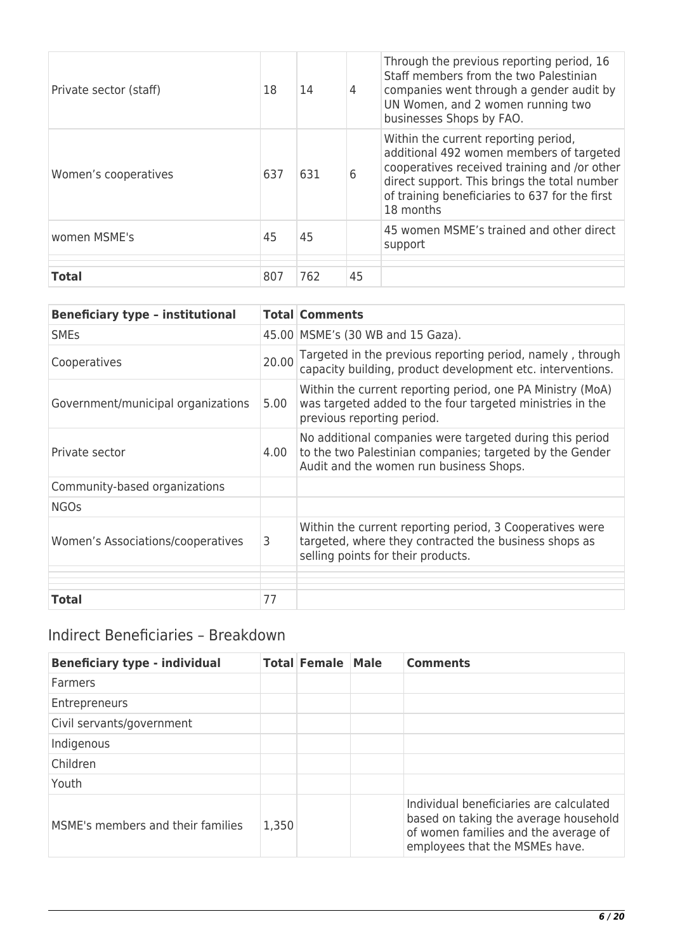| Private sector (staff) | 18  | 14  | 4  | Through the previous reporting period, 16<br>Staff members from the two Palestinian<br>companies went through a gender audit by<br>UN Women, and 2 women running two<br>businesses Shops by FAO.                                                |
|------------------------|-----|-----|----|-------------------------------------------------------------------------------------------------------------------------------------------------------------------------------------------------------------------------------------------------|
| Women's cooperatives   | 637 | 631 | 6  | Within the current reporting period,<br>additional 492 women members of targeted<br>cooperatives received training and /or other<br>direct support. This brings the total number<br>of training beneficiaries to 637 for the first<br>18 months |
| women MSME's           | 45  | 45  |    | 45 women MSME's trained and other direct<br>support                                                                                                                                                                                             |
|                        |     |     |    |                                                                                                                                                                                                                                                 |
|                        |     |     |    |                                                                                                                                                                                                                                                 |
| <b>Total</b>           | 807 | 762 | 45 |                                                                                                                                                                                                                                                 |

| <b>Beneficiary type - institutional</b> |       | <b>Total Comments</b>                                                                                                                                           |
|-----------------------------------------|-------|-----------------------------------------------------------------------------------------------------------------------------------------------------------------|
| <b>SME<sub>S</sub></b>                  |       | 45.00 MSME's (30 WB and 15 Gaza).                                                                                                                               |
| Cooperatives                            | 20.00 | Targeted in the previous reporting period, namely, through<br>capacity building, product development etc. interventions.                                        |
| Government/municipal organizations      | 5.00  | Within the current reporting period, one PA Ministry (MoA)<br>was targeted added to the four targeted ministries in the<br>previous reporting period.           |
| Private sector                          | 4.00  | No additional companies were targeted during this period<br>to the two Palestinian companies; targeted by the Gender<br>Audit and the women run business Shops. |
| Community-based organizations           |       |                                                                                                                                                                 |
| <b>NGOs</b>                             |       |                                                                                                                                                                 |
| Women's Associations/cooperatives       | 3     | Within the current reporting period, 3 Cooperatives were<br>targeted, where they contracted the business shops as<br>selling points for their products.         |
| <b>Total</b>                            | 77    |                                                                                                                                                                 |

## Indirect Beneficiaries – Breakdown

| <b>Beneficiary type - individual</b> |       | <b>Total Female Male</b> | <b>Comments</b>                                                                                                                                            |
|--------------------------------------|-------|--------------------------|------------------------------------------------------------------------------------------------------------------------------------------------------------|
| <b>Farmers</b>                       |       |                          |                                                                                                                                                            |
| Entrepreneurs                        |       |                          |                                                                                                                                                            |
| Civil servants/government            |       |                          |                                                                                                                                                            |
| Indigenous                           |       |                          |                                                                                                                                                            |
| Children                             |       |                          |                                                                                                                                                            |
| Youth                                |       |                          |                                                                                                                                                            |
| MSME's members and their families    | 1,350 |                          | Individual beneficiaries are calculated<br>based on taking the average household<br>of women families and the average of<br>employees that the MSMEs have. |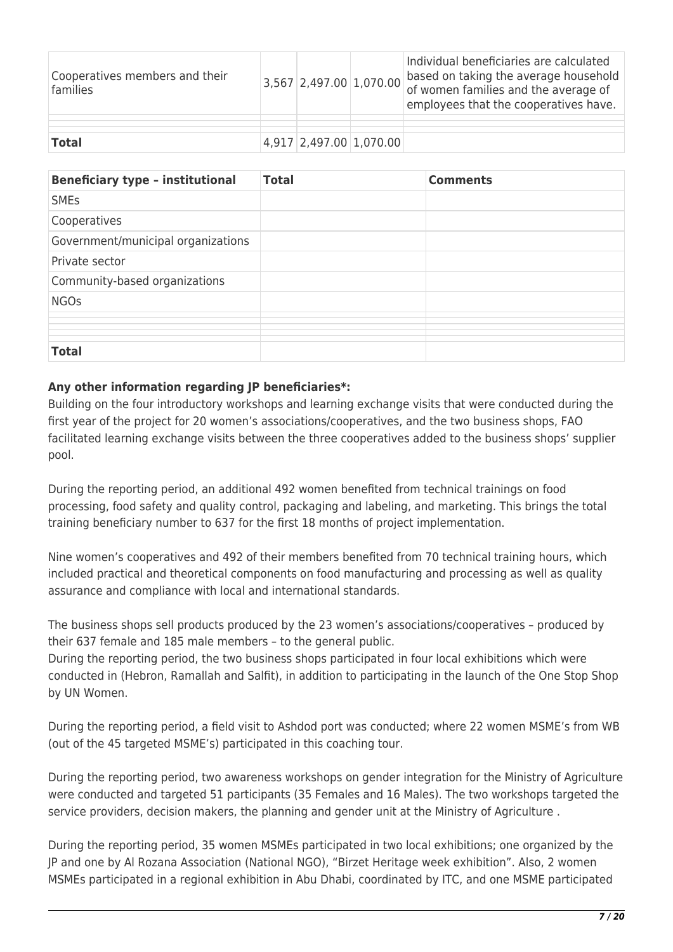| Cooperatives members and their<br>families |  | $3,567$ 2,497.00 1,070.00 | Individual beneficiaries are calculated<br>based on taking the average household<br>of women families and the average of<br>employees that the cooperatives have. |
|--------------------------------------------|--|---------------------------|-------------------------------------------------------------------------------------------------------------------------------------------------------------------|
|                                            |  |                           |                                                                                                                                                                   |
| <b>Total</b>                               |  | 4,917 2,497.00 1,070.00   |                                                                                                                                                                   |

| <b>Beneficiary type - institutional</b> | <b>Total</b> | <b>Comments</b> |
|-----------------------------------------|--------------|-----------------|
| <b>SMEs</b>                             |              |                 |
| Cooperatives                            |              |                 |
| Government/municipal organizations      |              |                 |
| Private sector                          |              |                 |
| Community-based organizations           |              |                 |
| <b>NGOs</b>                             |              |                 |
|                                         |              |                 |
|                                         |              |                 |
|                                         |              |                 |
|                                         |              |                 |
| <b>Total</b>                            |              |                 |

## **Any other information regarding JP beneficiaries\*:**

Building on the four introductory workshops and learning exchange visits that were conducted during the first year of the project for 20 women's associations/cooperatives, and the two business shops, FAO facilitated learning exchange visits between the three cooperatives added to the business shops' supplier pool.

During the reporting period, an additional 492 women benefited from technical trainings on food processing, food safety and quality control, packaging and labeling, and marketing. This brings the total training beneficiary number to 637 for the first 18 months of project implementation.

Nine women's cooperatives and 492 of their members benefited from 70 technical training hours, which included practical and theoretical components on food manufacturing and processing as well as quality assurance and compliance with local and international standards.

The business shops sell products produced by the 23 women's associations/cooperatives - produced by their 637 female and 185 male members – to the general public.

During the reporting period, the two business shops participated in four local exhibitions which were conducted in (Hebron, Ramallah and Salfit), in addition to participating in the launch of the One Stop Shop by UN Women.

During the reporting period, a field visit to Ashdod port was conducted; where 22 women MSME's from WB (out of the 45 targeted MSME's) participated in this coaching tour.

During the reporting period, two awareness workshops on gender integration for the Ministry of Agriculture were conducted and targeted 51 participants (35 Females and 16 Males). The two workshops targeted the service providers, decision makers, the planning and gender unit at the Ministry of Agriculture .

During the reporting period, 35 women MSMEs participated in two local exhibitions; one organized by the JP and one by Al Rozana Association (National NGO), "Birzet Heritage week exhibition". Also, 2 women MSMEs participated in a regional exhibition in Abu Dhabi, coordinated by ITC, and one MSME participated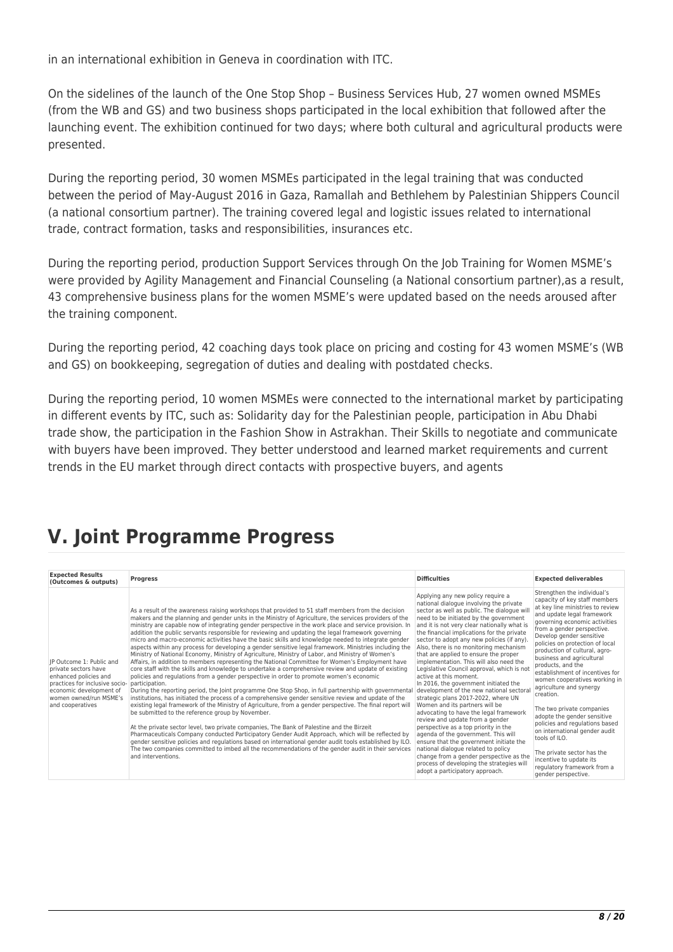in an international exhibition in Geneva in coordination with ITC.

On the sidelines of the launch of the One Stop Shop – Business Services Hub, 27 women owned MSMEs (from the WB and GS) and two business shops participated in the local exhibition that followed after the launching event. The exhibition continued for two days; where both cultural and agricultural products were presented.

During the reporting period, 30 women MSMEs participated in the legal training that was conducted between the period of May-August 2016 in Gaza, Ramallah and Bethlehem by Palestinian Shippers Council (a national consortium partner). The training covered legal and logistic issues related to international trade, contract formation, tasks and responsibilities, insurances etc.

During the reporting period, production Support Services through On the Job Training for Women MSME's were provided by Agility Management and Financial Counseling (a National consortium partner),as a result, 43 comprehensive business plans for the women MSME's were updated based on the needs aroused after the training component.

During the reporting period, 42 coaching days took place on pricing and costing for 43 women MSME's (WB and GS) on bookkeeping, segregation of duties and dealing with postdated checks.

During the reporting period, 10 women MSMEs were connected to the international market by participating in different events by ITC, such as: Solidarity day for the Palestinian people, participation in Abu Dhabi trade show, the participation in the Fashion Show in Astrakhan. Their Skills to negotiate and communicate with buyers have been improved. They better understood and learned market requirements and current trends in the EU market through direct contacts with prospective buyers, and agents

## **V. Joint Programme Progress**

| <b>Expected Results</b><br>(Outcomes & outputs)                                                                                                                                                     | <b>Progress</b>                                                                                                                                                                                                                                                                                                                                                                                                                                                                                                                                                                                                                                                                                                                                                                                                                                                                                                                                                                                                                                                                                                                                                                                                                                                                                                                                                                                                                                                                                                                                                                                                                                                                                                                                                                                                                                                                  | <b>Difficulties</b>                                                                                                                                                                                                                                                                                                                                                                                                                                                                                                                                                                                                                                                                                                                                                                                                                                                                                                                                                                                                                                         | <b>Expected deliverables</b>                                                                                                                                                                                                                                                                                                                                                                                                                                                                                                                                                                                                                                                                                               |
|-----------------------------------------------------------------------------------------------------------------------------------------------------------------------------------------------------|----------------------------------------------------------------------------------------------------------------------------------------------------------------------------------------------------------------------------------------------------------------------------------------------------------------------------------------------------------------------------------------------------------------------------------------------------------------------------------------------------------------------------------------------------------------------------------------------------------------------------------------------------------------------------------------------------------------------------------------------------------------------------------------------------------------------------------------------------------------------------------------------------------------------------------------------------------------------------------------------------------------------------------------------------------------------------------------------------------------------------------------------------------------------------------------------------------------------------------------------------------------------------------------------------------------------------------------------------------------------------------------------------------------------------------------------------------------------------------------------------------------------------------------------------------------------------------------------------------------------------------------------------------------------------------------------------------------------------------------------------------------------------------------------------------------------------------------------------------------------------------|-------------------------------------------------------------------------------------------------------------------------------------------------------------------------------------------------------------------------------------------------------------------------------------------------------------------------------------------------------------------------------------------------------------------------------------------------------------------------------------------------------------------------------------------------------------------------------------------------------------------------------------------------------------------------------------------------------------------------------------------------------------------------------------------------------------------------------------------------------------------------------------------------------------------------------------------------------------------------------------------------------------------------------------------------------------|----------------------------------------------------------------------------------------------------------------------------------------------------------------------------------------------------------------------------------------------------------------------------------------------------------------------------------------------------------------------------------------------------------------------------------------------------------------------------------------------------------------------------------------------------------------------------------------------------------------------------------------------------------------------------------------------------------------------------|
| IP Outcome 1: Public and<br>private sectors have<br>enhanced policies and<br>practices for inclusive socio- participation.<br>economic development of<br>women owned/run MSME's<br>and cooperatives | As a result of the awareness raising workshops that provided to 51 staff members from the decision<br>makers and the planning and gender units in the Ministry of Agriculture, the services providers of the<br>ministry are capable now of integrating gender perspective in the work place and service provision. In<br>addition the public servants responsible for reviewing and updating the legal framework governing<br>micro and macro-economic activities have the basic skills and knowledge needed to integrate gender<br>aspects within any process for developing a gender sensitive legal framework. Ministries including the<br>Ministry of National Economy, Ministry of Agriculture, Ministry of Labor, and Ministry of Women's<br>Affairs, in addition to members representing the National Committee for Women's Employment have<br>core staff with the skills and knowledge to undertake a comprehensive review and update of existing<br>policies and regulations from a gender perspective in order to promote women's economic<br>During the reporting period, the Joint programme One Stop Shop, in full partnership with governmental<br>institutions, has initiated the process of a comprehensive gender sensitive review and update of the<br>existing legal framework of the Ministry of Agriculture, from a gender perspective. The final report will<br>be submitted to the reference group by November.<br>At the private sector level, two private companies, The Bank of Palestine and the Birzeit<br>Pharmaceuticals Company conducted Participatory Gender Audit Approach, which will be reflected by<br>gender sensitive policies and regulations based on international gender audit tools established by ILO.<br>The two companies committed to imbed all the recommendations of the gender audit in their services<br>and interventions. | Applying any new policy require a<br>national dialogue involving the private<br>sector as well as public. The dialogue wil<br>need to be initiated by the government<br>and it is not very clear nationally what is<br>the financial implications for the private<br>sector to adopt any new policies (if any).<br>Also, there is no monitoring mechanism<br>that are applied to ensure the proper<br>implementation. This will also need the<br>Legislative Council approval, which is not<br>active at this moment.<br>In 2016, the government initiated the<br>development of the new national sectora<br>strategic plans 2017-2022, where UN<br>Women and its partners will be<br>advocating to have the legal framework<br>review and update from a gender<br>perspective as a top priority in the<br>agenda of the government. This will<br>ensure that the government initiate the<br>national dialogue related to policy<br>change from a gender perspective as the<br>process of developing the strategies will<br>adopt a participatory approach. | Strengthen the individual's<br>capacity of key staff members<br>at key line ministries to review<br>and update legal framework<br>governing economic activities<br>from a gender perspective.<br>Develop gender sensitive<br>policies on protection of local<br>production of cultural, agro-<br>business and agricultural<br>products, and the<br>establishment of incentives for<br>women cooperatives working in<br>agriculture and synergy<br>creation.<br>The two private companies<br>adopte the gender sensitive<br>policies and regulations based<br>on international gender audit<br>tools of ILO.<br>The private sector has the<br>incentive to update its<br>regulatory framework from a<br>gender perspective. |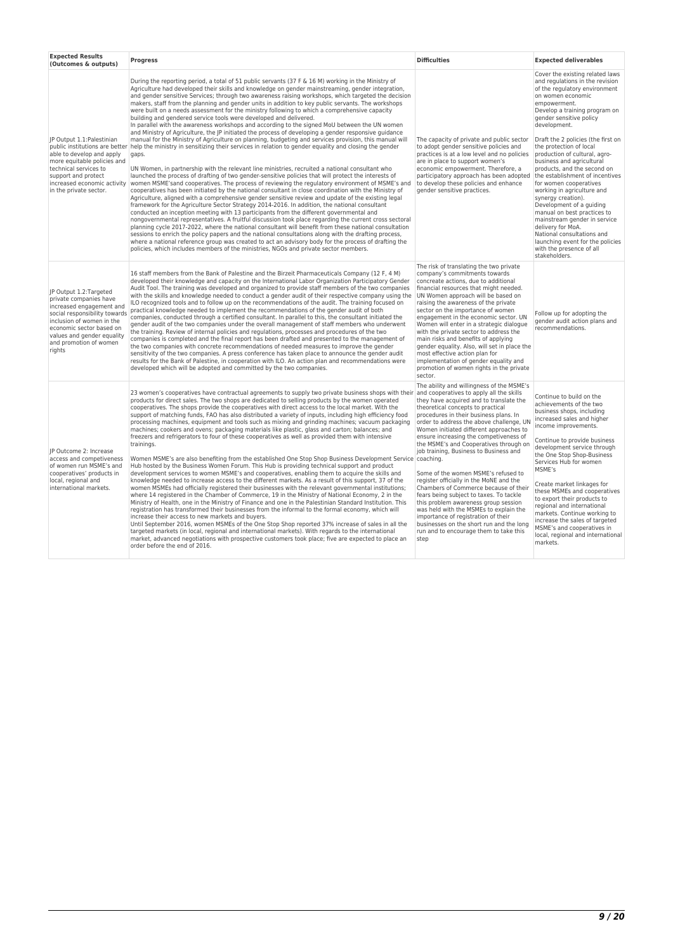| <b>Expected Results</b><br>(Outcomes & outputs)                                                                                                                                                                                          | <b>Progress</b>                                                                                                                                                                                                                                                                                                                                                                                                                                                                                                                                                                                                                                                                                                                                                                                                                                                                                                                                                                                                                                                                                                                                                                                                                                                                                                                                                                                                                                                                                                                                                                                                                                                                                                                                                                                                                                                                                                                                                                                                                                                                                                                                                                                                                                                                      | <b>Difficulties</b>                                                                                                                                                                                                                                                                                                                                                                                                                                                                                                                                                                                                                                                                                                                                                                   | <b>Expected deliverables</b>                                                                                                                                                                                                                                                                                                                                                                                                                                                                                                                                                                                                                                                                    |
|------------------------------------------------------------------------------------------------------------------------------------------------------------------------------------------------------------------------------------------|--------------------------------------------------------------------------------------------------------------------------------------------------------------------------------------------------------------------------------------------------------------------------------------------------------------------------------------------------------------------------------------------------------------------------------------------------------------------------------------------------------------------------------------------------------------------------------------------------------------------------------------------------------------------------------------------------------------------------------------------------------------------------------------------------------------------------------------------------------------------------------------------------------------------------------------------------------------------------------------------------------------------------------------------------------------------------------------------------------------------------------------------------------------------------------------------------------------------------------------------------------------------------------------------------------------------------------------------------------------------------------------------------------------------------------------------------------------------------------------------------------------------------------------------------------------------------------------------------------------------------------------------------------------------------------------------------------------------------------------------------------------------------------------------------------------------------------------------------------------------------------------------------------------------------------------------------------------------------------------------------------------------------------------------------------------------------------------------------------------------------------------------------------------------------------------------------------------------------------------------------------------------------------------|---------------------------------------------------------------------------------------------------------------------------------------------------------------------------------------------------------------------------------------------------------------------------------------------------------------------------------------------------------------------------------------------------------------------------------------------------------------------------------------------------------------------------------------------------------------------------------------------------------------------------------------------------------------------------------------------------------------------------------------------------------------------------------------|-------------------------------------------------------------------------------------------------------------------------------------------------------------------------------------------------------------------------------------------------------------------------------------------------------------------------------------------------------------------------------------------------------------------------------------------------------------------------------------------------------------------------------------------------------------------------------------------------------------------------------------------------------------------------------------------------|
| JP Output 1.1: Palestinian<br>public institutions are better<br>able to develop and apply<br>more equitable policies and<br>technical services to<br>support and protect<br>increased economic activity<br>in the private sector.        | During the reporting period, a total of 51 public servants (37 F & 16 M) working in the Ministry of<br>Agriculture had developed their skills and knowledge on gender mainstreaming, gender integration,<br>and gender sensitive Services; through two awareness raising workshops, which targeted the decision<br>makers, staff from the planning and gender units in addition to key public servants. The workshops<br>were built on a needs assessment for the ministry following to which a comprehensive capacity<br>building and gendered service tools were developed and delivered.<br>In parallel with the awareness workshops and according to the signed MoU between the UN women<br>and Ministry of Agriculture, the JP initiated the process of developing a gender responsive guidance<br>manual for the Ministry of Agriculture on planning, budgeting and services provision, this manual will<br>help the ministry in sensitizing their services in relation to gender equality and closing the gender<br>gaps.<br>UN Women, in partnership with the relevant line ministries, recruited a national consultant who<br>launched the process of drafting of two gender-sensitive policies that will protect the interests of<br>women MSME'sand cooperatives. The process of reviewing the regulatory environment of MSME's and<br>cooperatives has been initiated by the national consultant in close coordination with the Ministry of<br>Agriculture, aligned with a comprehensive gender sensitive review and update of the existing legal<br>framework for the Agriculture Sector Strategy 2014-2016. In addition, the national consultant<br>conducted an inception meeting with 13 participants from the different governmental and<br>nongovernmental representatives. A fruitful discussion took place regarding the current cross sectoral<br>planning cycle 2017-2022, where the national consultant will benefit from these national consultation<br>sessions to enrich the policy papers and the national consultations along with the drafting process,<br>where a national reference group was created to act an advisory body for the process of drafting the<br>policies, which includes members of the ministries, NGOs and private sector members. | The capacity of private and public sector<br>to adopt gender sensitive policies and<br>practices is at a low level and no policies<br>are in place to support women's<br>economic empowerment. Therefore, a<br>participatory approach has been adopted the establishment of incentives<br>to develop these policies and enhance<br>gender sensitive practices.                                                                                                                                                                                                                                                                                                                                                                                                                        | Cover the existing related laws<br>and regulations in the revision<br>of the regulatory environment<br>on women economic<br>empowerment.<br>Develop a training program on<br>gender sensitive policy<br>development.<br>Draft the 2 policies (the first on<br>the protection of local<br>production of cultural, agro-<br>business and agricultural<br>products, and the second on<br>for women cooperatives<br>working in agriculture and<br>synergy creation).<br>Development of a guiding<br>manual on best practices to<br>mainstream gender in service<br>delivery for MoA.<br>National consultations and<br>launching event for the policies<br>with the presence of all<br>stakeholders. |
| JP Output 1.2:Targeted<br>private companies have<br>increased engagement and<br>social responsibility towards<br>inclusion of women in the<br>economic sector based on<br>values and gender equality<br>and promotion of women<br>rights | 16 staff members from the Bank of Palestine and the Birzeit Pharmaceuticals Company (12 F, 4 M)<br>developed their knowledge and capacity on the International Labor Organization Participatory Gender<br>Audit Tool. The training was developed and organized to provide staff members of the two companies<br>with the skills and knowledge needed to conduct a gender audit of their respective company using the<br>ILO recognized tools and to follow up on the recommendations of the audit. The training focused on<br>practical knowledge needed to implement the recommendations of the gender audit of both<br>companies, conducted through a certified consultant. In parallel to this, the consultant initiated the<br>gender audit of the two companies under the overall management of staff members who underwent<br>the training. Review of internal policies and regulations, processes and procedures of the two<br>companies is completed and the final report has been drafted and presented to the management of<br>the two companies with concrete recommendations of needed measures to improve the gender<br>sensitivity of the two companies. A press conference has taken place to announce the gender audit<br>results for the Bank of Palestine, in cooperation with ILO. An action plan and recommendations were<br>developed which will be adopted and committed by the two companies.                                                                                                                                                                                                                                                                                                                                                                                                                                                                                                                                                                                                                                                                                                                                                                                                                                                                 | The risk of translating the two private<br>company's commitments towards<br>concreate actions, due to additional<br>financial resources that might needed.<br>UN Women approach will be based on<br>raising the awareness of the private<br>sector on the importance of women<br>engagement in the economic sector. UN<br>Women will enter in a strategic dialogue<br>with the private sector to address the<br>main risks and benefits of applying<br>gender equality. Also, will set in place the<br>most effective action plan for<br>implementation of gender equality and<br>promotion of women rights in the private<br>sector.                                                                                                                                                 | Follow up for adopting the<br>gender audit action plans and<br>recommendations.                                                                                                                                                                                                                                                                                                                                                                                                                                                                                                                                                                                                                 |
| JP Outcome 2: Increase<br>access and competiveness<br>of women run MSME's and<br>cooperatives' products in<br>local, regional and<br>international markets.                                                                              | 23 women's cooperatives have contractual agreements to supply two private business shops with their and cooperatives to apply all the skills<br>products for direct sales. The two shops are dedicated to selling products by the women operated<br>cooperatives. The shops provide the cooperatives with direct access to the local market. With the<br>support of matching funds, FAO has also distributed a variety of inputs, including high efficiency food<br>processing machines, equipment and tools such as mixing and grinding machines; vacuum packaging<br>machines; cookers and ovens; packaging materials like plastic, glass and carton; balances; and<br>freezers and refrigerators to four of these cooperatives as well as provided them with intensive<br>trainings.<br>Women MSME's are also benefiting from the established One Stop Shop Business Development Service coaching.<br>Hub hosted by the Business Women Forum. This Hub is providing technical support and product<br>development services to women MSME's and cooperatives, enabling them to acquire the skills and<br>knowledge needed to increase access to the different markets. As a result of this support, 37 of the<br>women MSMEs had officially registered their businesses with the relevant governmental institutions;<br>where 14 registered in the Chamber of Commerce, 19 in the Ministry of National Economy, 2 in the<br>Ministry of Health, one in the Ministry of Finance and one in the Palestinian Standard Institution. This<br>registration has transformed their businesses from the informal to the formal economy, which will<br>increase their access to new markets and buyers.<br>Until September 2016, women MSMEs of the One Stop Shop reported 37% increase of sales in all the<br>targeted markets (in local, regional and international markets). With regards to the international<br>market, advanced negotiations with prospective customers took place; five are expected to place an<br>order before the end of 2016.                                                                                                                                                                                                                                      | The ability and willingness of the MSME's<br>they have acquired and to translate the<br>theoretical concepts to practical<br>procedures in their business plans. In<br>order to address the above challenge, UN<br>Women initiated different approaches to<br>ensure increasing the competiveness of<br>the MSME's and Cooperatives through on<br>job training, Business to Business and<br>Some of the women MSME's refused to<br>register officially in the MoNE and the<br>Chambers of Commerce because of their<br>fears being subject to taxes. To tackle<br>this problem awareness group session<br>was held with the MSMEs to explain the<br>importance of registration of their<br>businesses on the short run and the long<br>run and to encourage them to take this<br>step | Continue to build on the<br>achievements of the two<br>business shops, including<br>increased sales and higher<br>income improvements.<br>Continue to provide business<br>development service through<br>the One Stop Shop-Business<br>Services Hub for women<br>MSME's<br>Create market linkages for<br>these MSMEs and cooperatives<br>to export their products to<br>regional and international<br>markets. Continue working to<br>increase the sales of targeted<br>MSME's and cooperatives in<br>local, regional and international<br>markets.                                                                                                                                             |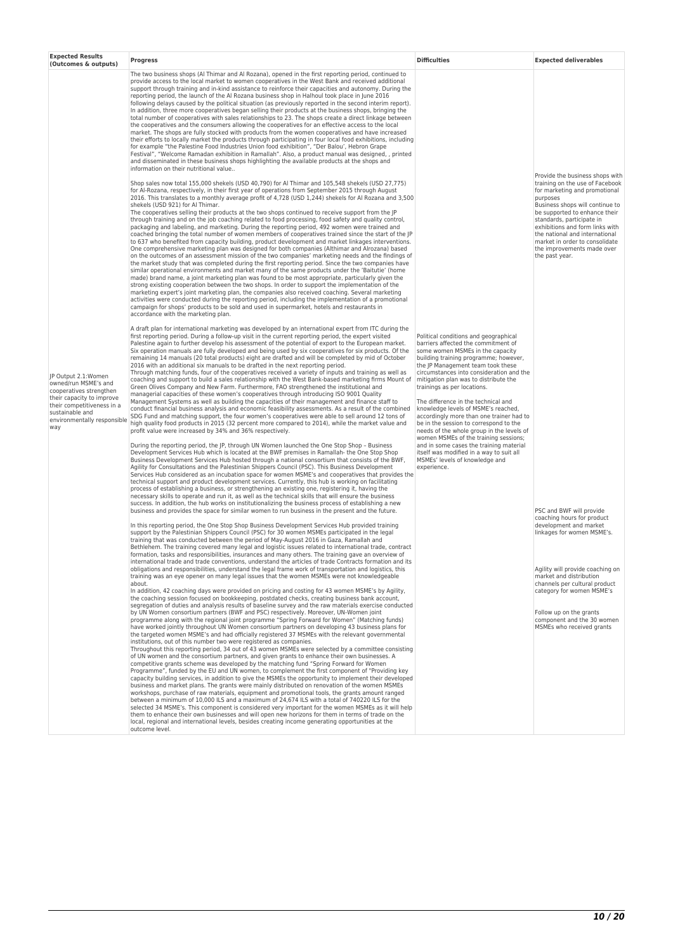| <b>Expected Results</b><br>(Outcomes & outputs)                                                                                                                                            | <b>Progress</b>                                                                                                                                                                                                                                                                                                                                                                                                                                                                                                                                                                                                                                                                                                                                                                                                                                                                                                                                                                                                                                                                                                                                                                                                                                                                                                                                                                                                                                                                                                                                                                                                                                                                                                                                                                                                                                                                                                                                                                                                                                                                                                                                                                                                                                                                                                                                                                                                                                                                                                                                                                                                                                                                                                                                                                                                                                                                                                                                                                                                                                                                                                                                                                                                                                                                                                                                                                                                                                                                                                  | <b>Difficulties</b>                                                                                                                                                                                                                                                                                                                                                                                                                                                                                                                                                                                                                                                                                                  | <b>Expected deliverables</b>                                                                                                                                                                                                                                                                                                         |
|--------------------------------------------------------------------------------------------------------------------------------------------------------------------------------------------|------------------------------------------------------------------------------------------------------------------------------------------------------------------------------------------------------------------------------------------------------------------------------------------------------------------------------------------------------------------------------------------------------------------------------------------------------------------------------------------------------------------------------------------------------------------------------------------------------------------------------------------------------------------------------------------------------------------------------------------------------------------------------------------------------------------------------------------------------------------------------------------------------------------------------------------------------------------------------------------------------------------------------------------------------------------------------------------------------------------------------------------------------------------------------------------------------------------------------------------------------------------------------------------------------------------------------------------------------------------------------------------------------------------------------------------------------------------------------------------------------------------------------------------------------------------------------------------------------------------------------------------------------------------------------------------------------------------------------------------------------------------------------------------------------------------------------------------------------------------------------------------------------------------------------------------------------------------------------------------------------------------------------------------------------------------------------------------------------------------------------------------------------------------------------------------------------------------------------------------------------------------------------------------------------------------------------------------------------------------------------------------------------------------------------------------------------------------------------------------------------------------------------------------------------------------------------------------------------------------------------------------------------------------------------------------------------------------------------------------------------------------------------------------------------------------------------------------------------------------------------------------------------------------------------------------------------------------------------------------------------------------------------------------------------------------------------------------------------------------------------------------------------------------------------------------------------------------------------------------------------------------------------------------------------------------------------------------------------------------------------------------------------------------------------------------------------------------------------------------------------------------|----------------------------------------------------------------------------------------------------------------------------------------------------------------------------------------------------------------------------------------------------------------------------------------------------------------------------------------------------------------------------------------------------------------------------------------------------------------------------------------------------------------------------------------------------------------------------------------------------------------------------------------------------------------------------------------------------------------------|--------------------------------------------------------------------------------------------------------------------------------------------------------------------------------------------------------------------------------------------------------------------------------------------------------------------------------------|
| JP Output 2.1:Women<br>owned/run MSME's and<br>cooperatives strengthen<br>their capacity to improve<br>their competitiveness in a<br>sustainable and<br>environmentally responsible<br>way | The two business shops (AI Thimar and AI Rozana), opened in the first reporting period, continued to<br>provide access to the local market to women cooperatives in the West Bank and received additional<br>support through training and in-kind assistance to reinforce their capacities and autonomy. During the<br>reporting period, the launch of the AI Rozana business shop in Halhoul took place in June 2016<br>following delays caused by the political situation (as previously reported in the second interim report).<br>In addition, three more cooperatives began selling their products at the business shops, bringing the<br>total number of cooperatives with sales relationships to 23. The shops create a direct linkage between<br>the cooperatives and the consumers allowing the cooperatives for an effective access to the local<br>market. The shops are fully stocked with products from the women cooperatives and have increased<br>their efforts to locally market the products through participating in four local food exhibitions, including<br>for example "the Palestine Food Industries Union food exhibition", "Der Balou', Hebron Grape<br>Festival", "Welcome Ramadan exhibition in Ramallah". Also, a product manual was designed, , printed<br>and disseminated in these business shops highlighting the available products at the shops and<br>information on their nutritional value                                                                                                                                                                                                                                                                                                                                                                                                                                                                                                                                                                                                                                                                                                                                                                                                                                                                                                                                                                                                                                                                                                                                                                                                                                                                                                                                                                                                                                                                                                                                                                                                                                                                                                                                                                                                                                                                                                                                                                                                                                                                                 |                                                                                                                                                                                                                                                                                                                                                                                                                                                                                                                                                                                                                                                                                                                      | Provide the business shops with                                                                                                                                                                                                                                                                                                      |
|                                                                                                                                                                                            | Shop sales now total 155,000 shekels (USD 40,790) for Al Thimar and 105,548 shekels (USD 27,775)<br>for Al-Rozana, respectively, in their first year of operations from September 2015 through August<br>2016. This translates to a monthly average profit of 4,728 (USD 1,244) shekels for Al Rozana and 3,500<br>shekels (USD 921) for Al Thimar.<br>The cooperatives selling their products at the two shops continued to receive support from the JP<br>through training and on the job coaching related to food processing, food safety and quality control,<br>packaging and labeling, and marketing. During the reporting period, 492 women were trained and<br>coached bringing the total number of women members of cooperatives trained since the start of the JP<br>to 637 who benefited from capacity building, product development and market linkages interventions.<br>One comprehensive marketing plan was designed for both companies (Althimar and Alrozana) based<br>on the outcomes of an assessment mission of the two companies' marketing needs and the findings of<br>the market study that was completed during the first reporting period. Since the two companies have<br>similar operational environments and market many of the same products under the 'Baitutie' (home<br>made) brand name, a joint marketing plan was found to be most appropriate, particularly given the<br>strong existing cooperation between the two shops. In order to support the implementation of the<br>marketing expert's joint marketing plan, the companies also received coaching. Several marketing<br>activities were conducted during the reporting period, including the implementation of a promotional<br>campaign for shops' products to be sold and used in supermarket, hotels and restaurants in<br>accordance with the marketing plan.                                                                                                                                                                                                                                                                                                                                                                                                                                                                                                                                                                                                                                                                                                                                                                                                                                                                                                                                                                                                                                                                                                                                                                                                                                                                                                                                                                                                                                                                                                                                                                                                                                                  |                                                                                                                                                                                                                                                                                                                                                                                                                                                                                                                                                                                                                                                                                                                      | training on the use of Facebook<br>for marketing and promotional<br>purposes<br>Business shops will continue to<br>be supported to enhance their<br>standards, participate in<br>exhibitions and form links with<br>the national and international<br>market in order to consolidate<br>the improvements made over<br>the past year. |
|                                                                                                                                                                                            | A draft plan for international marketing was developed by an international expert from ITC during the<br>first reporting period. During a follow-up visit in the current reporting period, the expert visited<br>Palestine again to further develop his assessment of the potential of export to the European market.<br>Six operation manuals are fully developed and being used by six cooperatives for six products. Of the<br>remaining 14 manuals (20 total products) eight are drafted and will be completed by mid of October<br>2016 with an additional six manuals to be drafted in the next reporting period.<br>Through matching funds, four of the cooperatives received a variety of inputs and training as well as<br>coaching and support to build a sales relationship with the West Bank-based marketing firms Mount of<br>Green Olives Company and New Farm. Furthermore, FAO strengthened the institutional and<br>managerial capacities of these women's cooperatives through introducing ISO 9001 Quality<br>Management Systems as well as building the capacities of their management and finance staff to<br>conduct financial business analysis and economic feasibility assessments. As a result of the combined<br>SDG Fund and matching support, the four women's cooperatives were able to sell around 12 tons of<br>high quality food products in 2015 (32 percent more compared to 2014), while the market value and<br>profit value were increased by 34% and 36% respectively.<br>During the reporting period, the JP, through UN Women launched the One Stop Shop - Business<br>Development Services Hub which is located at the BWF premises in Ramallah- the One Stop Shop<br>Business Development Services Hub hosted through a national consortium that consists of the BWF,<br>Agility for Consultations and the Palestinian Shippers Council (PSC). This Business Development<br>Services Hub considered as an incubation space for women MSME's and cooperatives that provides the<br>technical support and product development services. Currently, this hub is working on facilitating<br>process of establishing a business, or strengthening an existing one, registering it, having the<br>necessary skills to operate and run it, as well as the technical skills that will ensure the business<br>success. In addition, the hub works on institutionalizing the business process of establishing a new<br>business and provides the space for similar women to run business in the present and the future.<br>In this reporting period, the One Stop Shop Business Development Services Hub provided training<br>support by the Palestinian Shippers Council (PSC) for 30 women MSMEs participated in the legal<br>training that was conducted between the period of May-August 2016 in Gaza, Ramallah and<br>Bethlehem. The training covered many legal and logistic issues related to international trade, contract<br>formation, tasks and responsibilities, insurances and many others. The training gave an overview of<br>international trade and trade conventions, understand the articles of trade Contracts formation and its<br>obligations and responsibilities, understand the legal frame work of transportation and logistics, this<br>training was an eye opener on many legal issues that the women MSMEs were not knowledgeable<br>about.<br>In addition, 42 coaching days were provided on pricing and costing for 43 women MSME's by Agility, | Political conditions and geographical<br>barriers affected the commitment of<br>some women MSMEs in the capacity<br>building training programme; however,<br>the JP Management team took these<br>circumstances into consideration and the<br>mitigation plan was to distribute the<br>trainings as per locations.<br>The difference in the technical and<br>knowledge levels of MSME's reached,<br>accordingly more than one trainer had to<br>be in the session to correspond to the<br>needs of the whole group in the levels of<br>women MSMEs of the training sessions;<br>and in some cases the training material<br>itself was modified in a way to suit all<br>MSMEs' levels of knowledge and<br>experience. | PSC and BWF will provide<br>coaching hours for product<br>development and market<br>linkages for women MSME's.<br>Agility will provide coaching on<br>market and distribution<br>channels per cultural product<br>category for women MSME's                                                                                          |
|                                                                                                                                                                                            | the coaching session focused on bookkeeping, postdated checks, creating business bank account.<br>segregation of duties and analysis results of baseline survey and the raw materials exercise conducted<br>by UN Women consortium partners (BWF and PSC) respectively. Moreover, UN-Women joint<br>programme along with the regional joint programme "Spring Forward for Women" (Matching funds)<br>have worked jointly throughout UN Women consortium partners on developing 43 business plans for<br>the targeted women MSME's and had officially registered 37 MSMEs with the relevant governmental<br>institutions, out of this number two were registered as companies.<br>Throughout this reporting period, 34 out of 43 women MSMEs were selected by a committee consisting<br>of UN women and the consortium partners, and given grants to enhance their own businesses. A<br>competitive grants scheme was developed by the matching fund "Spring Forward for Women<br>Programme", funded by the EU and UN women, to complement the first component of "Providing key<br>capacity building services, in addition to give the MSMEs the opportunity to implement their developed<br>business and market plans. The grants were mainly distributed on renovation of the women MSMEs<br>workshops, purchase of raw materials, equipment and promotional tools, the grants amount ranged<br>between a minimum of 10,000 ILS and a maximum of 24,674 ILS with a total of 740220 ILS for the<br>selected 34 MSME's. This component is considered very important for the women MSMEs as it will help<br>them to enhance their own businesses and will open new horizons for them in terms of trade on the<br>local, regional and international levels, besides creating income generating opportunities at the<br>outcome level.                                                                                                                                                                                                                                                                                                                                                                                                                                                                                                                                                                                                                                                                                                                                                                                                                                                                                                                                                                                                                                                                                                                                                                                                                                                                                                                                                                                                                                                                                                                                                                                                                                                                              |                                                                                                                                                                                                                                                                                                                                                                                                                                                                                                                                                                                                                                                                                                                      | Follow up on the grants<br>component and the 30 women<br>MSMEs who received grants                                                                                                                                                                                                                                                   |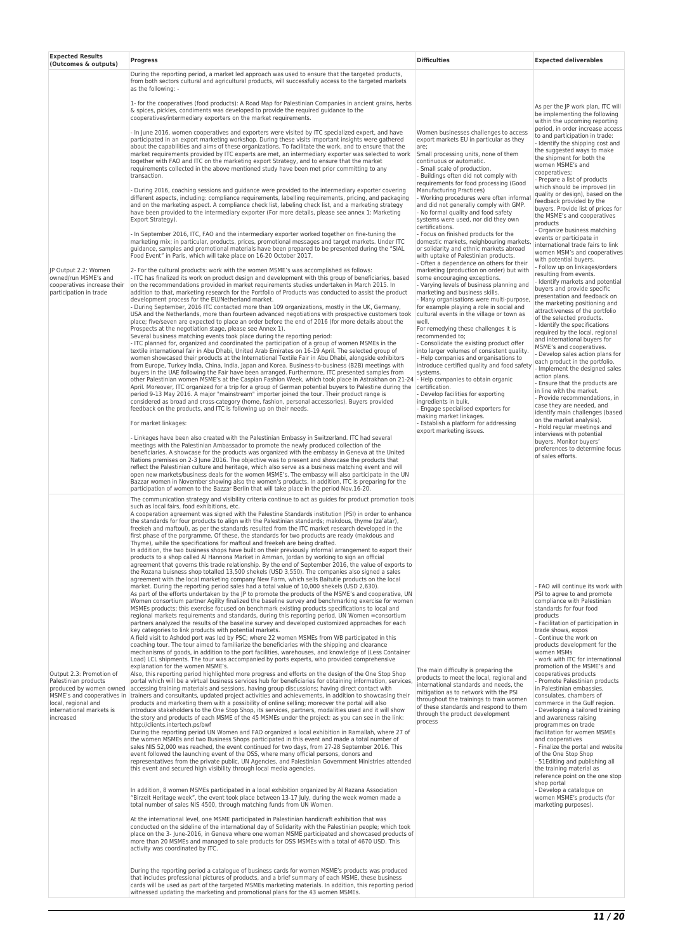| <b>Expected Results</b><br>(Outcomes & outputs)                                                                                             | Progress                                                                                                                                                                                                                                                                                                                                                                                                                                                                                                                                                                                                                                                                                                                                                                                                                                                                                                                                                                                                                                                                                                                                                                                                                                                                                                                                                                                                                                                                                                                                                                                                                                                                                                                                                                                                                                                                                                                                                                                                                                                                                                                                                                                                                                                                                                                                                                                                                                                                                                                                                                                                                                                                                                                                                                                                                                                                                                                                                                                                                                                                                                                                                                                                                                                                                                                                                                                                                                                                                                                                                                                                                                                                                                                                                                                                                                                                                                                                                                                                                                                                                                                                                                                                                                                                                                                                                                                                                                                                                                                                                                                                                                                                                                                                                                                                                                                                     | <b>Difficulties</b>                                                                                                                                                                                                                                                                                                                                                                                                                                                                                                                                                                                                                                                                                                                   | <b>Expected deliverables</b>                                                                                                                                                                                                                                                                                                                                                                                                                                                                                                                                                                                                                                                                                                                                                                                                                                                                                                                                                                                                                                                                                                                                                                                                                                                                                                                                                                                  |
|---------------------------------------------------------------------------------------------------------------------------------------------|------------------------------------------------------------------------------------------------------------------------------------------------------------------------------------------------------------------------------------------------------------------------------------------------------------------------------------------------------------------------------------------------------------------------------------------------------------------------------------------------------------------------------------------------------------------------------------------------------------------------------------------------------------------------------------------------------------------------------------------------------------------------------------------------------------------------------------------------------------------------------------------------------------------------------------------------------------------------------------------------------------------------------------------------------------------------------------------------------------------------------------------------------------------------------------------------------------------------------------------------------------------------------------------------------------------------------------------------------------------------------------------------------------------------------------------------------------------------------------------------------------------------------------------------------------------------------------------------------------------------------------------------------------------------------------------------------------------------------------------------------------------------------------------------------------------------------------------------------------------------------------------------------------------------------------------------------------------------------------------------------------------------------------------------------------------------------------------------------------------------------------------------------------------------------------------------------------------------------------------------------------------------------------------------------------------------------------------------------------------------------------------------------------------------------------------------------------------------------------------------------------------------------------------------------------------------------------------------------------------------------------------------------------------------------------------------------------------------------------------------------------------------------------------------------------------------------------------------------------------------------------------------------------------------------------------------------------------------------------------------------------------------------------------------------------------------------------------------------------------------------------------------------------------------------------------------------------------------------------------------------------------------------------------------------------------------------------------------------------------------------------------------------------------------------------------------------------------------------------------------------------------------------------------------------------------------------------------------------------------------------------------------------------------------------------------------------------------------------------------------------------------------------------------------------------------------------------------------------------------------------------------------------------------------------------------------------------------------------------------------------------------------------------------------------------------------------------------------------------------------------------------------------------------------------------------------------------------------------------------------------------------------------------------------------------------------------------------------------------------------------------------------------------------------------------------------------------------------------------------------------------------------------------------------------------------------------------------------------------------------------------------------------------------------------------------------------------------------------------------------------------------------------------------------------------------------------------------------------------------------------|---------------------------------------------------------------------------------------------------------------------------------------------------------------------------------------------------------------------------------------------------------------------------------------------------------------------------------------------------------------------------------------------------------------------------------------------------------------------------------------------------------------------------------------------------------------------------------------------------------------------------------------------------------------------------------------------------------------------------------------|---------------------------------------------------------------------------------------------------------------------------------------------------------------------------------------------------------------------------------------------------------------------------------------------------------------------------------------------------------------------------------------------------------------------------------------------------------------------------------------------------------------------------------------------------------------------------------------------------------------------------------------------------------------------------------------------------------------------------------------------------------------------------------------------------------------------------------------------------------------------------------------------------------------------------------------------------------------------------------------------------------------------------------------------------------------------------------------------------------------------------------------------------------------------------------------------------------------------------------------------------------------------------------------------------------------------------------------------------------------------------------------------------------------|
| JP Output 2.2: Women<br>owned/run MSME's and<br>cooperatives increase their<br>participation in trade                                       | During the reporting period, a market led approach was used to ensure that the targeted products,<br>from both sectors cultural and agricultural products, will successfully access to the targeted markets<br>as the following: -                                                                                                                                                                                                                                                                                                                                                                                                                                                                                                                                                                                                                                                                                                                                                                                                                                                                                                                                                                                                                                                                                                                                                                                                                                                                                                                                                                                                                                                                                                                                                                                                                                                                                                                                                                                                                                                                                                                                                                                                                                                                                                                                                                                                                                                                                                                                                                                                                                                                                                                                                                                                                                                                                                                                                                                                                                                                                                                                                                                                                                                                                                                                                                                                                                                                                                                                                                                                                                                                                                                                                                                                                                                                                                                                                                                                                                                                                                                                                                                                                                                                                                                                                                                                                                                                                                                                                                                                                                                                                                                                                                                                                                           |                                                                                                                                                                                                                                                                                                                                                                                                                                                                                                                                                                                                                                                                                                                                       |                                                                                                                                                                                                                                                                                                                                                                                                                                                                                                                                                                                                                                                                                                                                                                                                                                                                                                                                                                                                                                                                                                                                                                                                                                                                                                                                                                                                               |
|                                                                                                                                             | 1- for the cooperatives (food products): A Road Map for Palestinian Companies in ancient grains, herbs<br>& spices, pickles, condiments was developed to provide the required guidance to the<br>cooperatives/intermediary exporters on the market requirements.                                                                                                                                                                                                                                                                                                                                                                                                                                                                                                                                                                                                                                                                                                                                                                                                                                                                                                                                                                                                                                                                                                                                                                                                                                                                                                                                                                                                                                                                                                                                                                                                                                                                                                                                                                                                                                                                                                                                                                                                                                                                                                                                                                                                                                                                                                                                                                                                                                                                                                                                                                                                                                                                                                                                                                                                                                                                                                                                                                                                                                                                                                                                                                                                                                                                                                                                                                                                                                                                                                                                                                                                                                                                                                                                                                                                                                                                                                                                                                                                                                                                                                                                                                                                                                                                                                                                                                                                                                                                                                                                                                                                             |                                                                                                                                                                                                                                                                                                                                                                                                                                                                                                                                                                                                                                                                                                                                       | As per the JP work plan, ITC will<br>be implementing the following<br>within the upcoming reporting<br>period, in order increase access<br>to and participation in trade:<br>- Identify the shipping cost and<br>the suggested ways to make<br>the shipment for both the<br>women MSME's and<br>cooperatives;<br>- Prepare a list of products<br>which should be improved (in<br>quality or design), based on the<br>feedback provided by the<br>buyers. Provide list of prices for<br>the MSME's and cooperatives<br>products<br>- Organize business matching<br>events or participate in<br>international trade fairs to link<br>women MSM's and cooperatives<br>with potential buyers.<br>- Follow up on linkages/orders<br>resulting from events.<br>- Identify markets and potential<br>buyers and provide specific<br>presentation and feedback on<br>the marketing positioning and<br>attractiveness of the portfolio<br>of the selected products.<br>- Identify the specifications<br>required by the local, regional<br>and international buyers for<br>MSME's and cooperatives.<br>- Develop sales action plans for<br>each product in the portfolio.<br>- Implement the designed sales<br>action plans.<br>- Ensure that the products are<br>in line with the market.<br>- Provide recommendations, in<br>case they are needed, and<br>identify main challenges (based<br>on the market analysis). |
|                                                                                                                                             | - In June 2016, women cooperatives and exporters were visited by ITC specialized expert, and have<br>participated in an export marketing workshop. During these visits important insights were gathered<br>about the capabilities and aims of these organizations. To facilitate the work, and to ensure that the<br>market requirements provided by ITC experts are met, an intermediary exporter was selected to work<br>together with FAO and ITC on the marketing export Strategy, and to ensure that the market<br>requirements collected in the above mentioned study have been met prior committing to any<br>transaction.                                                                                                                                                                                                                                                                                                                                                                                                                                                                                                                                                                                                                                                                                                                                                                                                                                                                                                                                                                                                                                                                                                                                                                                                                                                                                                                                                                                                                                                                                                                                                                                                                                                                                                                                                                                                                                                                                                                                                                                                                                                                                                                                                                                                                                                                                                                                                                                                                                                                                                                                                                                                                                                                                                                                                                                                                                                                                                                                                                                                                                                                                                                                                                                                                                                                                                                                                                                                                                                                                                                                                                                                                                                                                                                                                                                                                                                                                                                                                                                                                                                                                                                                                                                                                                            | Women businesses challenges to access<br>export markets EU in particular as they<br>are;<br>Small processing units, none of them<br>continuous or automatic.<br>- Small scale of production.<br>- Buildings often did not comply with<br>requirements for food processing (Good<br>Manufacturing Practices)<br>- Working procedures were often informal<br>and did not generally comply with GMP.<br>- No formal quality and food safety<br>systems were used, nor did they own<br>certifications.<br>- Focus on finished products for the<br>domestic markets, neighbouring markets,<br>or solidarity and ethnic markets abroad<br>with uptake of Palestinian products.                                                              |                                                                                                                                                                                                                                                                                                                                                                                                                                                                                                                                                                                                                                                                                                                                                                                                                                                                                                                                                                                                                                                                                                                                                                                                                                                                                                                                                                                                               |
|                                                                                                                                             | - During 2016, coaching sessions and guidance were provided to the intermediary exporter covering<br>different aspects, including: compliance requirements, labelling requirements, pricing, and packaging<br>and on the marketing aspect. A compliance check list, labeling check list, and a marketing strategy<br>have been provided to the intermediary exporter (For more details, please see annex 1: Marketing<br>Export Strategy).                                                                                                                                                                                                                                                                                                                                                                                                                                                                                                                                                                                                                                                                                                                                                                                                                                                                                                                                                                                                                                                                                                                                                                                                                                                                                                                                                                                                                                                                                                                                                                                                                                                                                                                                                                                                                                                                                                                                                                                                                                                                                                                                                                                                                                                                                                                                                                                                                                                                                                                                                                                                                                                                                                                                                                                                                                                                                                                                                                                                                                                                                                                                                                                                                                                                                                                                                                                                                                                                                                                                                                                                                                                                                                                                                                                                                                                                                                                                                                                                                                                                                                                                                                                                                                                                                                                                                                                                                                   |                                                                                                                                                                                                                                                                                                                                                                                                                                                                                                                                                                                                                                                                                                                                       |                                                                                                                                                                                                                                                                                                                                                                                                                                                                                                                                                                                                                                                                                                                                                                                                                                                                                                                                                                                                                                                                                                                                                                                                                                                                                                                                                                                                               |
|                                                                                                                                             | - In September 2016, ITC, FAO and the intermediary exporter worked together on fine-tuning the<br>marketing mix; in particular, products, prices, promotional messages and target markets. Under ITC<br>guidance, samples and promotional materials have been prepared to be presented during the "SIAL<br>Food Event" in Paris, which will take place on 16-20 October 2017.                                                                                                                                                                                                                                                                                                                                                                                                                                                                                                                                                                                                                                                                                                                                                                                                                                                                                                                                                                                                                                                                                                                                                                                                                                                                                                                                                                                                                                                                                                                                                                                                                                                                                                                                                                                                                                                                                                                                                                                                                                                                                                                                                                                                                                                                                                                                                                                                                                                                                                                                                                                                                                                                                                                                                                                                                                                                                                                                                                                                                                                                                                                                                                                                                                                                                                                                                                                                                                                                                                                                                                                                                                                                                                                                                                                                                                                                                                                                                                                                                                                                                                                                                                                                                                                                                                                                                                                                                                                                                                |                                                                                                                                                                                                                                                                                                                                                                                                                                                                                                                                                                                                                                                                                                                                       |                                                                                                                                                                                                                                                                                                                                                                                                                                                                                                                                                                                                                                                                                                                                                                                                                                                                                                                                                                                                                                                                                                                                                                                                                                                                                                                                                                                                               |
|                                                                                                                                             | 2- For the cultural products: work with the women MSME's was accomplished as follows:<br>- ITC has finalized its work on product design and development with this group of beneficiaries, based<br>on the recommendations provided in market requirements studies undertaken in March 2015. In<br>addition to that, marketing research for the Portfolio of Products was conducted to assist the product<br>development process for the EU/Netherland market.<br>- During September, 2016 ITC contacted more than 109 organizations, mostly in the UK, Germany,<br>USA and the Netherlands, more than fourteen advanced negotiations with prospective customers took cultural events in the village or town as<br>place; five/seven are expected to place an order before the end of 2016 (for more details about the<br>Prospects at the negotiation stage, please see Annex 1).<br>Several business matching events took place during the reporting period:<br>- ITC planned for, organized and coordinated the participation of a group of women MSMEs in the<br>textile international fair in Abu Dhabi, United Arab Emirates on 16-19 April. The selected group of<br>women showcased their products at the International Textile Fair in Abu Dhabi, alongside exhibitors<br>from Europe, Turkey India, China, India, Japan and Korea. Business-to-business (B2B) meetings with<br>buyers in the UAE following the Fair have been arranged. Furthermore, ITC presented samples from<br>other Palestinian women MSME's at the Caspian Fashion Week, which took place in Astrakhan on 21-24 - Help companies to obtain organic<br>April. Moreover, ITC organized for a trip for a group of German potential buyers to Palestine during the certification.<br>period 9-13 May 2016. A major "mainstream" importer joined the tour. Their product range is<br>considered as broad and cross-category (home, fashion, personal accessories). Buyers provided<br>feedback on the products, and ITC is following up on their needs.<br>For market linkages:                                                                                                                                                                                                                                                                                                                                                                                                                                                                                                                                                                                                                                                                                                                                                                                                                                                                                                                                                                                                                                                                                                                                                                                                                                                                                                                                                                                                                                                                                                                                                                                                                                                                                                                                                                                                                                                                                                                                                                                                                                                                                                                                                                                                                                                                                                                                                                                                                                                                                                                                                                                                                                                                                                                                                                                                                    | - Often a dependence on others for their<br>marketing (production on order) but with<br>some encouraging exceptions.<br>- Varying levels of business planning and<br>marketing and business skills.<br>- Many organisations were multi-purpose,<br>for example playing a role in social and<br>well.<br>For remedying these challenges it is<br>recommended to:<br>- Consolidate the existing product offer<br>into larger volumes of consistent quality.<br>- Help companies and organisations to<br>introduce certified quality and food safety<br>systems.<br>- Develop facilities for exporting<br>ingredients in bulk.<br>- Engage specialised exporters for<br>making market linkages.<br>- Establish a platform for addressing |                                                                                                                                                                                                                                                                                                                                                                                                                                                                                                                                                                                                                                                                                                                                                                                                                                                                                                                                                                                                                                                                                                                                                                                                                                                                                                                                                                                                               |
|                                                                                                                                             | - Linkages have been also created with the Palestinian Embassy in Switzerland. ITC had several<br>meetings with the Palestinian Ambassador to promote the newly produced collection of the<br>beneficiaries. A showcase for the products was organized with the embassy in Geneva at the United<br>Nations premises on 2-3 June 2016. The objective was to present and showcase the products that<br>reflect the Palestinian culture and heritage, which also serve as a business matching event and will<br>open new markets/business deals for the women MSME's. The embassy will also participate in the UN<br>Bazzar women in November showing also the women's products. In addition, ITC is preparing for the<br>participation of women to the Bazzar Berlin that will take place in the period Nov.16-20.                                                                                                                                                                                                                                                                                                                                                                                                                                                                                                                                                                                                                                                                                                                                                                                                                                                                                                                                                                                                                                                                                                                                                                                                                                                                                                                                                                                                                                                                                                                                                                                                                                                                                                                                                                                                                                                                                                                                                                                                                                                                                                                                                                                                                                                                                                                                                                                                                                                                                                                                                                                                                                                                                                                                                                                                                                                                                                                                                                                                                                                                                                                                                                                                                                                                                                                                                                                                                                                                                                                                                                                                                                                                                                                                                                                                                                                                                                                                                                                                                                                             | export marketing issues.                                                                                                                                                                                                                                                                                                                                                                                                                                                                                                                                                                                                                                                                                                              | - Hold regular meetings and<br>interviews with potential<br>buyers. Monitor buyers'<br>preferences to determine focus<br>of sales efforts.                                                                                                                                                                                                                                                                                                                                                                                                                                                                                                                                                                                                                                                                                                                                                                                                                                                                                                                                                                                                                                                                                                                                                                                                                                                                    |
| Output 2.3: Promotion of<br>Palestinian products<br>produced by women owned<br>local, regional and<br>international markets is<br>increased | The communication strategy and visibility criteria continue to act as guides for product promotion tools<br>such as local fairs, food exhibitions, etc.<br>A cooperation agreement was signed with the Palestine Standards institution (PSI) in order to enhance<br>the standards for four products to align with the Palestinian standards; makdous, thyme (za'atar),<br>freekeh and maftoul), as per the standards resulted from the ITC market research developed in the<br>first phase of the porgramme. Of these, the standards for two products are ready (makdous and<br>Thyme), while the specifications for maftoul and freekeh are being drafted.<br>In addition, the two business shops have built on their previously informal arrangement to export their<br>products to a shop called Al Hannona Market in Amman, Jordan by working to sign an official<br>agreement that governs this trade relationship. By the end of September 2016, the value of exports to<br>the Rozana buisness shop totalled 13,500 shekels (USD 3,550). The companies also signed a sales<br>agreement with the local marketing company New Farm, which sells Baitutie products on the local<br>market. During the reporting period sales had a total value of 10,000 shekels (USD 2.630).<br>As part of the efforts undertaken by the IP to promote the products of the MSME's and cooperative, UN<br>Women consortium partner Agility finalized the baseline survey and benchmarking exercise for women<br>MSMEs products; this exercise focused on benchmark existing products specifications to local and<br>regional markets requirements and standards, during this reporting period, UN Women =consortium<br>partners analyzed the results of the baseline survey and developed customized approaches for each<br>key categories to link products with potential markets.<br>A field visit to Ashdod port was led by PSC; where 22 women MSMEs from WB participated in this<br>coaching tour. The tour aimed to familiarize the beneficiaries with the shipping and clearance<br>mechanisms of goods, in addition to the port facilities, warehouses, and knowledge of (Less Container<br>Load) LCL shipments. The tour was accompanied by ports experts, who provided comprehensive<br>explanation for the women MSME's.<br>Also, this reporting period highlighted more progress and efforts on the design of the One Stop Shop<br>portal which will be a virtual business services hub for beneficiaries for obtaining information, services,<br>accessing training materials and sessions, having group discussions; having direct contact with<br>MSME's and cooperatives in trainers and consultants, updated project activities and achievements, in addition to showcasing their<br>products and marketing them with a possibility of online selling; moreover the portal will also<br>introduce stakeholders to the One Stop Shop, its services, partners, modalities used and it will show<br>the story and products of each MSME of the 45 MSMEs under the project: as you can see in the link:<br>http://clients.intertech.ps/bwf<br>During the reporting period UN Women and FAO organized a local exhibition in Ramallah, where 27 of<br>the women MSMEs and two Business Shops participated in this event and made a total number of<br>sales NIS 52,000 was reached, the event continued for two days, from 27-28 September 2016. This<br>event followed the launching event of the OSS, where many official persons, donors and<br>representatives from the private public, UN Agencies, and Palestinian Government Ministries attended<br>this event and secured high visibility through local media agencies.<br>In addition, 8 women MSMEs participated in a local exhibition organized by Al Razana Association<br>"Birzeit Heritage week", the event took place between 13-17 July, during the week women made a<br>total number of sales NIS 4500, through matching funds from UN Women.<br>At the international level, one MSME participated in Palestinian handicraft exhibition that was<br>conducted on the sideline of the international day of Solidarity with the Palestinian people; which took<br>place on the 3- June-2016, in Geneva where one woman MSME participated and showcased products of<br>more than 20 MSMEs and managed to sale products for OSS MSMEs with a total of 4670 USD. This<br>activity was coordinated by ITC.<br>During the reporting period a catalogue of business cards for women MSME's products was produced<br>that includes professional pictures of products, and a brief summary of each MSME, these business<br>cards will be used as part of the targeted MSMEs marketing materials. In addition, this reporting period<br>witnessed updating the marketing and promotional plans for the 43 women MSMEs. | The main difficulty is preparing the<br>products to meet the local, regional and<br>international standards and needs, the<br>mitigation as to network with the PSI<br>throughout the trainings to train women<br>of these standards and respond to them<br>through the product development<br>process                                                                                                                                                                                                                                                                                                                                                                                                                                | - FAO will continue its work with<br>PSI to agree to and promote<br>compliance with Palestinian<br>standards for four food<br>products<br>- Facilitation of participation in<br>trade shows, expos<br>- Continue the work on<br>products development for the<br>women MSMs<br>- work with ITC for international<br>promotion of the MSME's and<br>cooperatives products<br>- Promote Palestinian products<br>in Palestinian embassies,<br>consulates, chambers of<br>commerce in the Gulf region.<br>- Developing a tailored training<br>and awareness raising<br>programmes on trade<br>facilitation for women MSMEs<br>and cooperatives<br>- Finalize the portal and website<br>of the One Stop Shop<br>- 51Editing and publishing all<br>the training material as<br>reference point on the one stop<br>shop portal<br>- Develop a catalogue on<br>women MSME's products (for<br>marketing purposes).                                                                                                                                                                                                                                                                                                                                                                                                                                                                                                      |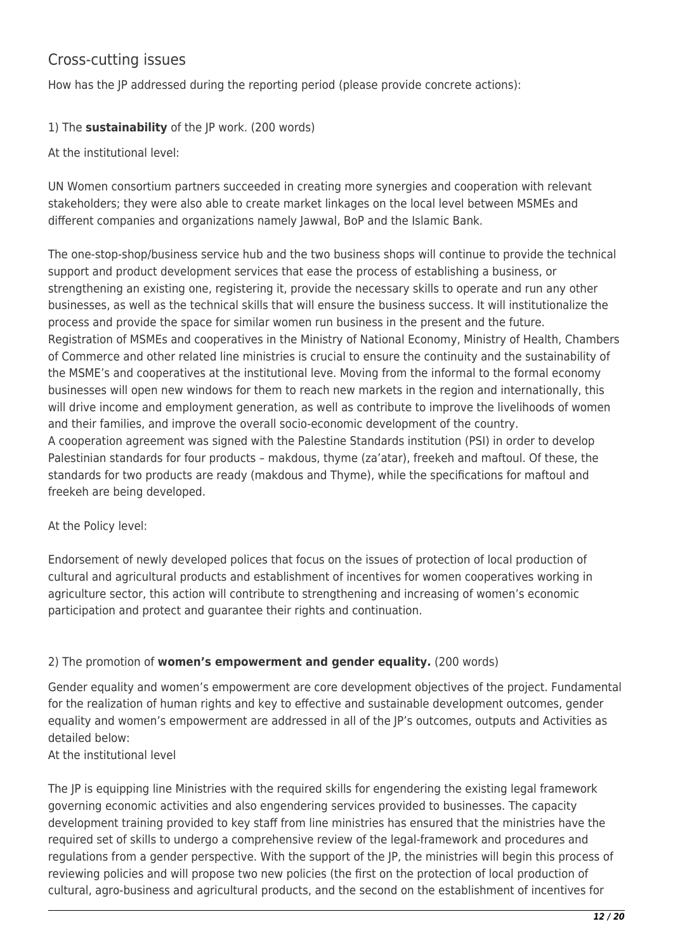## Cross-cutting issues

How has the JP addressed during the reporting period (please provide concrete actions):

1) The **sustainability** of the JP work. (200 words)

At the institutional level:

UN Women consortium partners succeeded in creating more synergies and cooperation with relevant stakeholders; they were also able to create market linkages on the local level between MSMEs and different companies and organizations namely Jawwal, BoP and the Islamic Bank.

The one-stop-shop/business service hub and the two business shops will continue to provide the technical support and product development services that ease the process of establishing a business, or strengthening an existing one, registering it, provide the necessary skills to operate and run any other businesses, as well as the technical skills that will ensure the business success. It will institutionalize the process and provide the space for similar women run business in the present and the future. Registration of MSMEs and cooperatives in the Ministry of National Economy, Ministry of Health, Chambers of Commerce and other related line ministries is crucial to ensure the continuity and the sustainability of the MSME's and cooperatives at the institutional leve. Moving from the informal to the formal economy businesses will open new windows for them to reach new markets in the region and internationally, this will drive income and employment generation, as well as contribute to improve the livelihoods of women and their families, and improve the overall socio-economic development of the country. A cooperation agreement was signed with the Palestine Standards institution (PSI) in order to develop Palestinian standards for four products – makdous, thyme (za'atar), freekeh and maftoul. Of these, the standards for two products are ready (makdous and Thyme), while the specifications for maftoul and freekeh are being developed.

At the Policy level:

Endorsement of newly developed polices that focus on the issues of protection of local production of cultural and agricultural products and establishment of incentives for women cooperatives working in agriculture sector, this action will contribute to strengthening and increasing of women's economic participation and protect and guarantee their rights and continuation.

## 2) The promotion of **women's empowerment and gender equality.** (200 words)

Gender equality and women's empowerment are core development objectives of the project. Fundamental for the realization of human rights and key to effective and sustainable development outcomes, gender equality and women's empowerment are addressed in all of the JP's outcomes, outputs and Activities as detailed below:

At the institutional level

The JP is equipping line Ministries with the required skills for engendering the existing legal framework governing economic activities and also engendering services provided to businesses. The capacity development training provided to key staff from line ministries has ensured that the ministries have the required set of skills to undergo a comprehensive review of the legal-framework and procedures and regulations from a gender perspective. With the support of the JP, the ministries will begin this process of reviewing policies and will propose two new policies (the first on the protection of local production of cultural, agro-business and agricultural products, and the second on the establishment of incentives for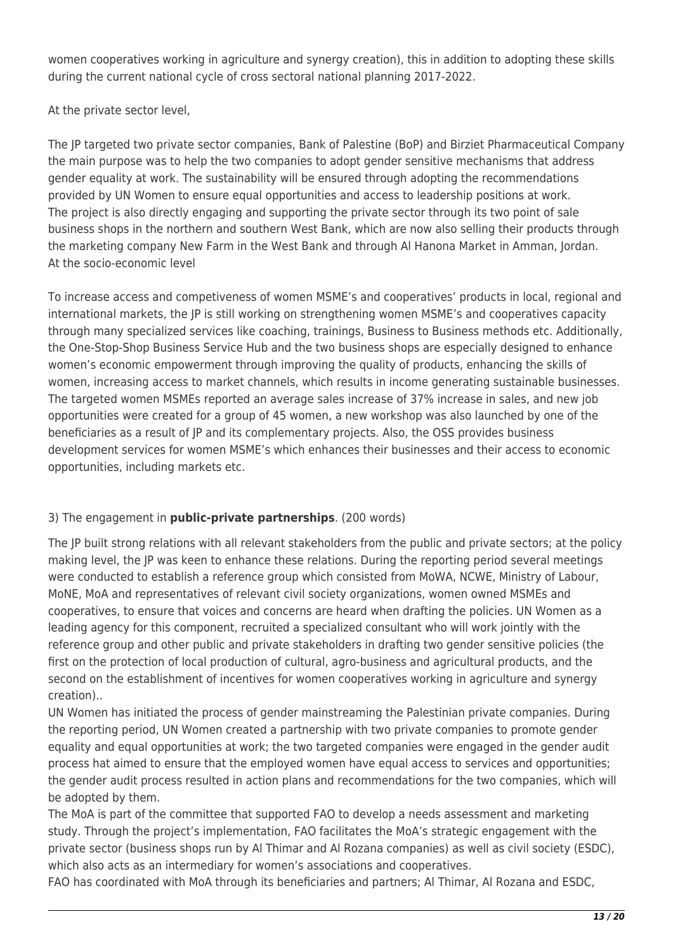women cooperatives working in agriculture and synergy creation), this in addition to adopting these skills during the current national cycle of cross sectoral national planning 2017-2022.

At the private sector level,

The JP targeted two private sector companies, Bank of Palestine (BoP) and Birziet Pharmaceutical Company the main purpose was to help the two companies to adopt gender sensitive mechanisms that address gender equality at work. The sustainability will be ensured through adopting the recommendations provided by UN Women to ensure equal opportunities and access to leadership positions at work. The project is also directly engaging and supporting the private sector through its two point of sale business shops in the northern and southern West Bank, which are now also selling their products through the marketing company New Farm in the West Bank and through Al Hanona Market in Amman, Jordan. At the socio-economic level

To increase access and competiveness of women MSME's and cooperatives' products in local, regional and international markets, the JP is still working on strengthening women MSME's and cooperatives capacity through many specialized services like coaching, trainings, Business to Business methods etc. Additionally, the One-Stop-Shop Business Service Hub and the two business shops are especially designed to enhance women's economic empowerment through improving the quality of products, enhancing the skills of women, increasing access to market channels, which results in income generating sustainable businesses. The targeted women MSMEs reported an average sales increase of 37% increase in sales, and new job opportunities were created for a group of 45 women, a new workshop was also launched by one of the beneficiaries as a result of JP and its complementary projects. Also, the OSS provides business development services for women MSME's which enhances their businesses and their access to economic opportunities, including markets etc.

## 3) The engagement in **public-private partnerships**. (200 words)

The JP built strong relations with all relevant stakeholders from the public and private sectors; at the policy making level, the JP was keen to enhance these relations. During the reporting period several meetings were conducted to establish a reference group which consisted from MoWA, NCWE, Ministry of Labour, MoNE, MoA and representatives of relevant civil society organizations, women owned MSMEs and cooperatives, to ensure that voices and concerns are heard when drafting the policies. UN Women as a leading agency for this component, recruited a specialized consultant who will work jointly with the reference group and other public and private stakeholders in drafting two gender sensitive policies (the first on the protection of local production of cultural, agro-business and agricultural products, and the second on the establishment of incentives for women cooperatives working in agriculture and synergy creation)..

UN Women has initiated the process of gender mainstreaming the Palestinian private companies. During the reporting period, UN Women created a partnership with two private companies to promote gender equality and equal opportunities at work; the two targeted companies were engaged in the gender audit process hat aimed to ensure that the employed women have equal access to services and opportunities; the gender audit process resulted in action plans and recommendations for the two companies, which will be adopted by them.

The MoA is part of the committee that supported FAO to develop a needs assessment and marketing study. Through the project's implementation, FAO facilitates the MoA's strategic engagement with the private sector (business shops run by Al Thimar and Al Rozana companies) as well as civil society (ESDC), which also acts as an intermediary for women's associations and cooperatives.

FAO has coordinated with MoA through its beneficiaries and partners; Al Thimar, Al Rozana and ESDC,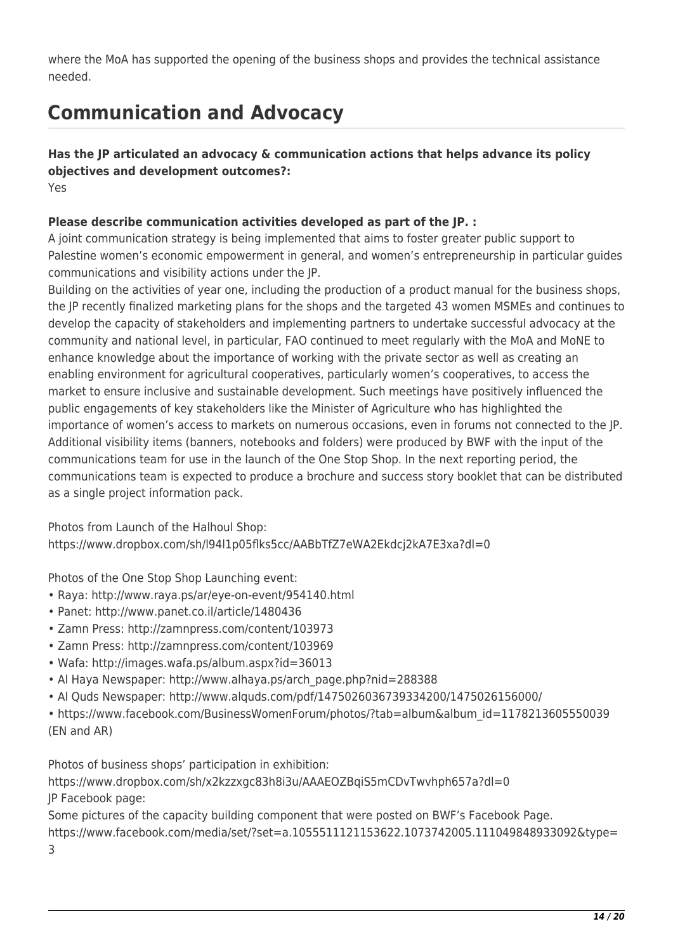where the MoA has supported the opening of the business shops and provides the technical assistance needed.

# **Communication and Advocacy**

**Has the JP articulated an advocacy & communication actions that helps advance its policy objectives and development outcomes?:**  Yes

## **Please describe communication activities developed as part of the JP. :**

A joint communication strategy is being implemented that aims to foster greater public support to Palestine women's economic empowerment in general, and women's entrepreneurship in particular guides communications and visibility actions under the JP.

Building on the activities of year one, including the production of a product manual for the business shops, the JP recently finalized marketing plans for the shops and the targeted 43 women MSMEs and continues to develop the capacity of stakeholders and implementing partners to undertake successful advocacy at the community and national level, in particular, FAO continued to meet regularly with the MoA and MoNE to enhance knowledge about the importance of working with the private sector as well as creating an enabling environment for agricultural cooperatives, particularly women's cooperatives, to access the market to ensure inclusive and sustainable development. Such meetings have positively influenced the public engagements of key stakeholders like the Minister of Agriculture who has highlighted the importance of women's access to markets on numerous occasions, even in forums not connected to the JP. Additional visibility items (banners, notebooks and folders) were produced by BWF with the input of the communications team for use in the launch of the One Stop Shop. In the next reporting period, the communications team is expected to produce a brochure and success story booklet that can be distributed as a single project information pack.

Photos from Launch of the Halhoul Shop: https://www.dropbox.com/sh/l94l1p05flks5cc/AABbTfZ7eWA2Ekdcj2kA7E3xa?dl=0

Photos of the One Stop Shop Launching event:

- Raya: http://www.raya.ps/ar/eye-on-event/954140.html
- Panet: http://www.panet.co.il/article/1480436
- Zamn Press: http://zamnpress.com/content/103973
- Zamn Press: http://zamnpress.com/content/103969
- Wafa: http://images.wafa.ps/album.aspx?id=36013
- Al Haya Newspaper: http://www.alhaya.ps/arch\_page.php?nid=288388
- Al Quds Newspaper: http://www.alquds.com/pdf/1475026036739334200/1475026156000/
- https://www.facebook.com/BusinessWomenForum/photos/?tab=album&album\_id=1178213605550039 (EN and AR)

Photos of business shops' participation in exhibition:

https://www.dropbox.com/sh/x2kzzxgc83h8i3u/AAAEOZBqiS5mCDvTwvhph657a?dl=0 JP Facebook page:

Some pictures of the capacity building component that were posted on BWF's Facebook Page.

https://www.facebook.com/media/set/?set=a.1055511121153622.1073742005.111049848933092&type= 3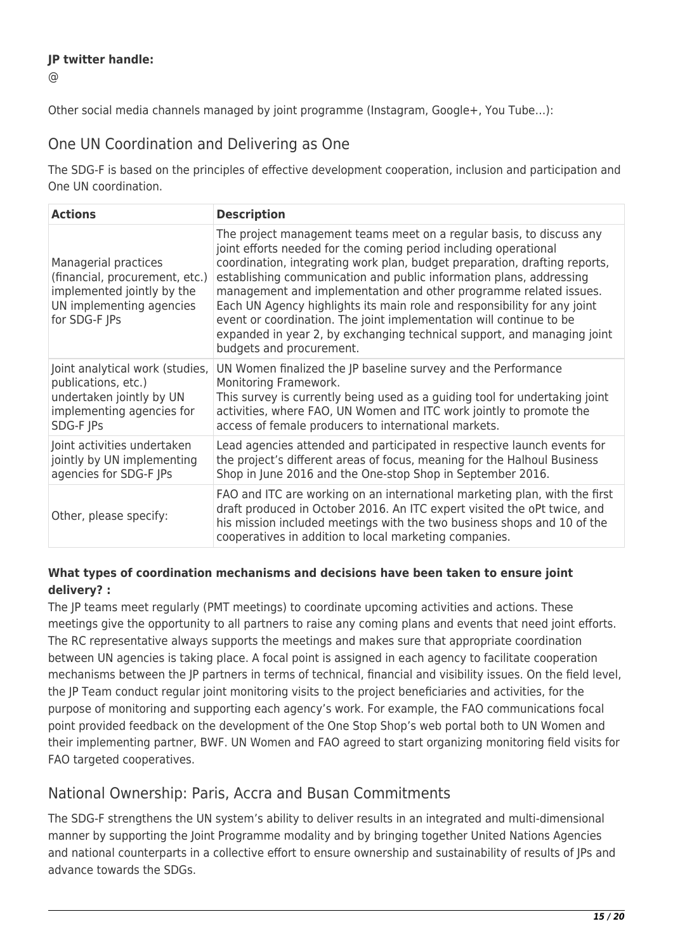## **JP twitter handle:**

 $\omega$ 

Other social media channels managed by joint programme (Instagram, Google+, You Tube…):

## One UN Coordination and Delivering as One

The SDG-F is based on the principles of effective development cooperation, inclusion and participation and One UN coordination.

| <b>Actions</b>                                                                                                                    | <b>Description</b>                                                                                                                                                                                                                                                                                                                                                                                                                                                                                                                                                                                                           |
|-----------------------------------------------------------------------------------------------------------------------------------|------------------------------------------------------------------------------------------------------------------------------------------------------------------------------------------------------------------------------------------------------------------------------------------------------------------------------------------------------------------------------------------------------------------------------------------------------------------------------------------------------------------------------------------------------------------------------------------------------------------------------|
| Managerial practices<br>(financial, procurement, etc.)<br>implemented jointly by the<br>UN implementing agencies<br>for SDG-F JPs | The project management teams meet on a regular basis, to discuss any<br>joint efforts needed for the coming period including operational<br>coordination, integrating work plan, budget preparation, drafting reports,<br>establishing communication and public information plans, addressing<br>management and implementation and other programme related issues.<br>Each UN Agency highlights its main role and responsibility for any joint<br>event or coordination. The joint implementation will continue to be<br>expanded in year 2, by exchanging technical support, and managing joint<br>budgets and procurement. |
| Joint analytical work (studies,<br>publications, etc.)<br>undertaken jointly by UN<br>implementing agencies for<br>SDG-F JPs      | UN Women finalized the JP baseline survey and the Performance<br>Monitoring Framework.<br>This survey is currently being used as a guiding tool for undertaking joint<br>activities, where FAO, UN Women and ITC work jointly to promote the<br>access of female producers to international markets.                                                                                                                                                                                                                                                                                                                         |
| Joint activities undertaken<br>jointly by UN implementing<br>agencies for SDG-F JPs                                               | Lead agencies attended and participated in respective launch events for<br>the project's different areas of focus, meaning for the Halhoul Business<br>Shop in June 2016 and the One-stop Shop in September 2016.                                                                                                                                                                                                                                                                                                                                                                                                            |
| Other, please specify:                                                                                                            | FAO and ITC are working on an international marketing plan, with the first<br>draft produced in October 2016. An ITC expert visited the oPt twice, and<br>his mission included meetings with the two business shops and 10 of the<br>cooperatives in addition to local marketing companies.                                                                                                                                                                                                                                                                                                                                  |

## **What types of coordination mechanisms and decisions have been taken to ensure joint delivery? :**

The JP teams meet regularly (PMT meetings) to coordinate upcoming activities and actions. These meetings give the opportunity to all partners to raise any coming plans and events that need joint efforts. The RC representative always supports the meetings and makes sure that appropriate coordination between UN agencies is taking place. A focal point is assigned in each agency to facilitate cooperation mechanisms between the JP partners in terms of technical, financial and visibility issues. On the field level, the JP Team conduct regular joint monitoring visits to the project beneficiaries and activities, for the purpose of monitoring and supporting each agency's work. For example, the FAO communications focal point provided feedback on the development of the One Stop Shop's web portal both to UN Women and their implementing partner, BWF. UN Women and FAO agreed to start organizing monitoring field visits for FAO targeted cooperatives.

## National Ownership: Paris, Accra and Busan Commitments

The SDG-F strengthens the UN system's ability to deliver results in an integrated and multi-dimensional manner by supporting the Joint Programme modality and by bringing together United Nations Agencies and national counterparts in a collective effort to ensure ownership and sustainability of results of JPs and advance towards the SDGs.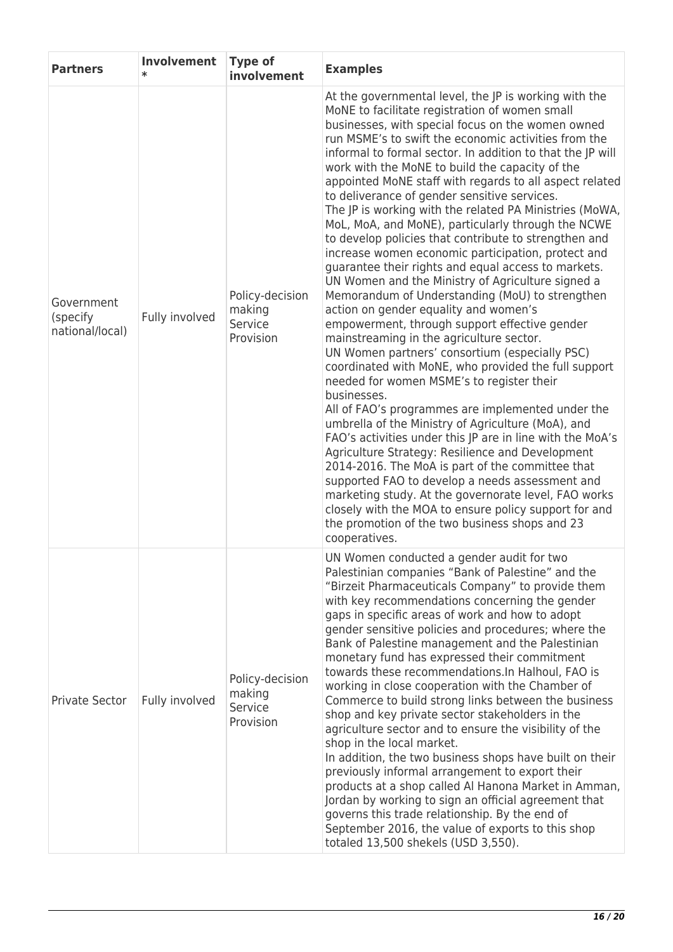| <b>Partners</b>                           | Involvement<br>$\ast$ | <b>Type of</b><br>involvement                     | <b>Examples</b>                                                                                                                                                                                                                                                                                                                                                                                                                                                                                                                                                                                                                                                                                                                                                                                                                                                                                                                                                                                                                                                                                                                                                                                                                                                                                                                                                                                                                                                                                                                                                                                                                                                                    |
|-------------------------------------------|-----------------------|---------------------------------------------------|------------------------------------------------------------------------------------------------------------------------------------------------------------------------------------------------------------------------------------------------------------------------------------------------------------------------------------------------------------------------------------------------------------------------------------------------------------------------------------------------------------------------------------------------------------------------------------------------------------------------------------------------------------------------------------------------------------------------------------------------------------------------------------------------------------------------------------------------------------------------------------------------------------------------------------------------------------------------------------------------------------------------------------------------------------------------------------------------------------------------------------------------------------------------------------------------------------------------------------------------------------------------------------------------------------------------------------------------------------------------------------------------------------------------------------------------------------------------------------------------------------------------------------------------------------------------------------------------------------------------------------------------------------------------------------|
| Government<br>(specify<br>national/local) | Fully involved        | Policy-decision<br>making<br>Service<br>Provision | At the governmental level, the JP is working with the<br>MoNE to facilitate registration of women small<br>businesses, with special focus on the women owned<br>run MSME's to swift the economic activities from the<br>informal to formal sector. In addition to that the JP will<br>work with the MoNE to build the capacity of the<br>appointed MoNE staff with regards to all aspect related<br>to deliverance of gender sensitive services.<br>The JP is working with the related PA Ministries (MoWA,<br>MoL, MoA, and MoNE), particularly through the NCWE<br>to develop policies that contribute to strengthen and<br>increase women economic participation, protect and<br>guarantee their rights and equal access to markets.<br>UN Women and the Ministry of Agriculture signed a<br>Memorandum of Understanding (MoU) to strengthen<br>action on gender equality and women's<br>empowerment, through support effective gender<br>mainstreaming in the agriculture sector.<br>UN Women partners' consortium (especially PSC)<br>coordinated with MoNE, who provided the full support<br>needed for women MSME's to register their<br>businesses.<br>All of FAO's programmes are implemented under the<br>umbrella of the Ministry of Agriculture (MoA), and<br>FAO's activities under this JP are in line with the MoA's<br>Agriculture Strategy: Resilience and Development<br>2014-2016. The MoA is part of the committee that<br>supported FAO to develop a needs assessment and<br>marketing study. At the governorate level, FAO works<br>closely with the MOA to ensure policy support for and<br>the promotion of the two business shops and 23<br>cooperatives. |
| <b>Private Sector</b>                     | Fully involved        | Policy-decision<br>making<br>Service<br>Provision | UN Women conducted a gender audit for two<br>Palestinian companies "Bank of Palestine" and the<br>"Birzeit Pharmaceuticals Company" to provide them<br>with key recommendations concerning the gender<br>gaps in specific areas of work and how to adopt<br>gender sensitive policies and procedures; where the<br>Bank of Palestine management and the Palestinian<br>monetary fund has expressed their commitment<br>towards these recommendations. In Halhoul, FAO is<br>working in close cooperation with the Chamber of<br>Commerce to build strong links between the business<br>shop and key private sector stakeholders in the<br>agriculture sector and to ensure the visibility of the<br>shop in the local market.<br>In addition, the two business shops have built on their<br>previously informal arrangement to export their<br>products at a shop called Al Hanona Market in Amman,<br>Jordan by working to sign an official agreement that<br>governs this trade relationship. By the end of<br>September 2016, the value of exports to this shop<br>totaled 13,500 shekels (USD 3,550).                                                                                                                                                                                                                                                                                                                                                                                                                                                                                                                                                                          |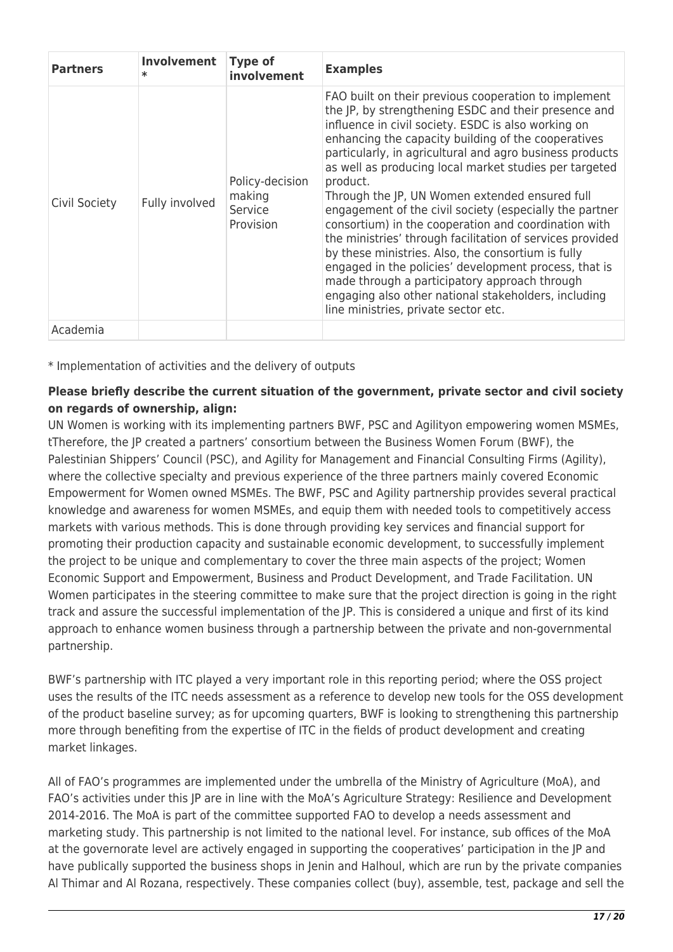| <b>Partners</b> | Involvement<br>$\ast$ | <b>Type of</b><br>involvement                     | <b>Examples</b>                                                                                                                                                                                                                                                                                                                                                                                                                                                                                                                                                                                                                                                                                                                                                                                                                                                |
|-----------------|-----------------------|---------------------------------------------------|----------------------------------------------------------------------------------------------------------------------------------------------------------------------------------------------------------------------------------------------------------------------------------------------------------------------------------------------------------------------------------------------------------------------------------------------------------------------------------------------------------------------------------------------------------------------------------------------------------------------------------------------------------------------------------------------------------------------------------------------------------------------------------------------------------------------------------------------------------------|
| Civil Society   | Fully involved        | Policy-decision<br>making<br>Service<br>Provision | FAO built on their previous cooperation to implement<br>the JP, by strengthening ESDC and their presence and<br>influence in civil society. ESDC is also working on<br>enhancing the capacity building of the cooperatives<br>particularly, in agricultural and agro business products<br>as well as producing local market studies per targeted<br>product.<br>Through the JP, UN Women extended ensured full<br>engagement of the civil society (especially the partner<br>consortium) in the cooperation and coordination with<br>the ministries' through facilitation of services provided<br>by these ministries. Also, the consortium is fully<br>engaged in the policies' development process, that is<br>made through a participatory approach through<br>engaging also other national stakeholders, including<br>line ministries, private sector etc. |
| Academia        |                       |                                                   |                                                                                                                                                                                                                                                                                                                                                                                                                                                                                                                                                                                                                                                                                                                                                                                                                                                                |

\* Implementation of activities and the delivery of outputs

## **Please briefly describe the current situation of the government, private sector and civil society on regards of ownership, align:**

UN Women is working with its implementing partners BWF, PSC and Agilityon empowering women MSMEs, tTherefore, the JP created a partners' consortium between the Business Women Forum (BWF), the Palestinian Shippers' Council (PSC), and Agility for Management and Financial Consulting Firms (Agility), where the collective specialty and previous experience of the three partners mainly covered Economic Empowerment for Women owned MSMEs. The BWF, PSC and Agility partnership provides several practical knowledge and awareness for women MSMEs, and equip them with needed tools to competitively access markets with various methods. This is done through providing key services and financial support for promoting their production capacity and sustainable economic development, to successfully implement the project to be unique and complementary to cover the three main aspects of the project; Women Economic Support and Empowerment, Business and Product Development, and Trade Facilitation. UN Women participates in the steering committee to make sure that the project direction is going in the right track and assure the successful implementation of the JP. This is considered a unique and first of its kind approach to enhance women business through a partnership between the private and non-governmental partnership.

BWF's partnership with ITC played a very important role in this reporting period; where the OSS project uses the results of the ITC needs assessment as a reference to develop new tools for the OSS development of the product baseline survey; as for upcoming quarters, BWF is looking to strengthening this partnership more through benefiting from the expertise of ITC in the fields of product development and creating market linkages.

All of FAO's programmes are implemented under the umbrella of the Ministry of Agriculture (MoA), and FAO's activities under this JP are in line with the MoA's Agriculture Strategy: Resilience and Development 2014-2016. The MoA is part of the committee supported FAO to develop a needs assessment and marketing study. This partnership is not limited to the national level. For instance, sub offices of the MoA at the governorate level are actively engaged in supporting the cooperatives' participation in the JP and have publically supported the business shops in Jenin and Halhoul, which are run by the private companies Al Thimar and Al Rozana, respectively. These companies collect (buy), assemble, test, package and sell the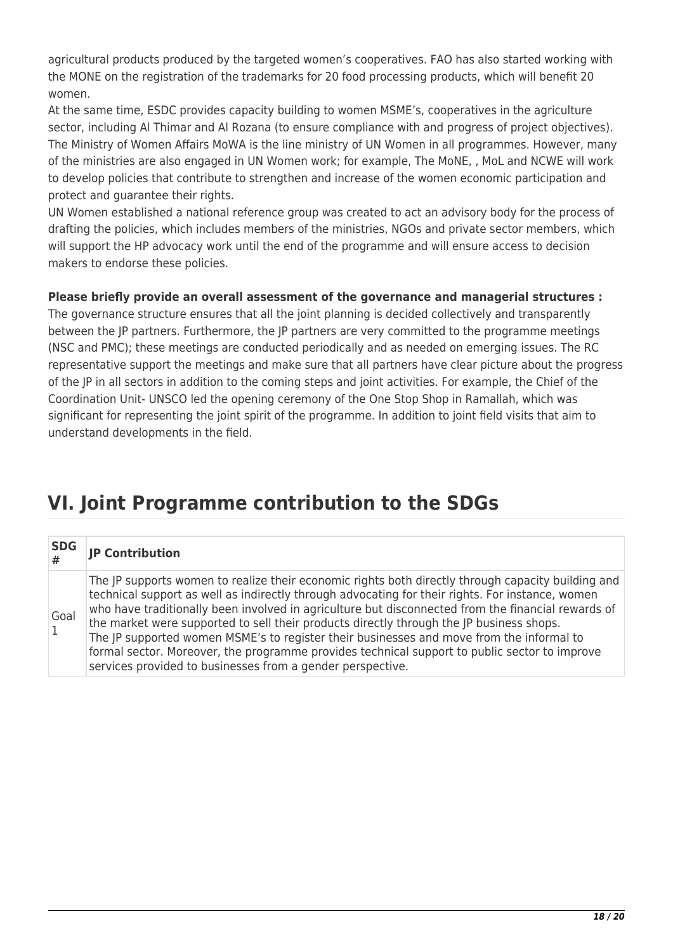agricultural products produced by the targeted women's cooperatives. FAO has also started working with the MONE on the registration of the trademarks for 20 food processing products, which will benefit 20 women.

At the same time, ESDC provides capacity building to women MSME's, cooperatives in the agriculture sector, including Al Thimar and Al Rozana (to ensure compliance with and progress of project objectives). The Ministry of Women Affairs MoWA is the line ministry of UN Women in all programmes. However, many of the ministries are also engaged in UN Women work; for example, The MoNE, , MoL and NCWE will work to develop policies that contribute to strengthen and increase of the women economic participation and protect and guarantee their rights.

UN Women established a national reference group was created to act an advisory body for the process of drafting the policies, which includes members of the ministries, NGOs and private sector members, which will support the HP advocacy work until the end of the programme and will ensure access to decision makers to endorse these policies.

## **Please briefly provide an overall assessment of the governance and managerial structures :**

The governance structure ensures that all the joint planning is decided collectively and transparently between the JP partners. Furthermore, the JP partners are very committed to the programme meetings (NSC and PMC); these meetings are conducted periodically and as needed on emerging issues. The RC representative support the meetings and make sure that all partners have clear picture about the progress of the JP in all sectors in addition to the coming steps and joint activities. For example, the Chief of the Coordination Unit- UNSCO led the opening ceremony of the One Stop Shop in Ramallah, which was significant for representing the joint spirit of the programme. In addition to joint field visits that aim to understand developments in the field.

## **VI. Joint Programme contribution to the SDGs**

| <b>SDG</b>           | <b>JP Contribution</b>                                                                                                                                                                                                                                                                                                                                                                                                                                                                                                                                                                                                                                              |
|----------------------|---------------------------------------------------------------------------------------------------------------------------------------------------------------------------------------------------------------------------------------------------------------------------------------------------------------------------------------------------------------------------------------------------------------------------------------------------------------------------------------------------------------------------------------------------------------------------------------------------------------------------------------------------------------------|
| Goal<br>$\mathbf{1}$ | The JP supports women to realize their economic rights both directly through capacity building and<br>technical support as well as indirectly through advocating for their rights. For instance, women<br>who have traditionally been involved in agriculture but disconnected from the financial rewards of<br>the market were supported to sell their products directly through the JP business shops.<br>The JP supported women MSME's to register their businesses and move from the informal to<br>formal sector. Moreover, the programme provides technical support to public sector to improve<br>services provided to businesses from a gender perspective. |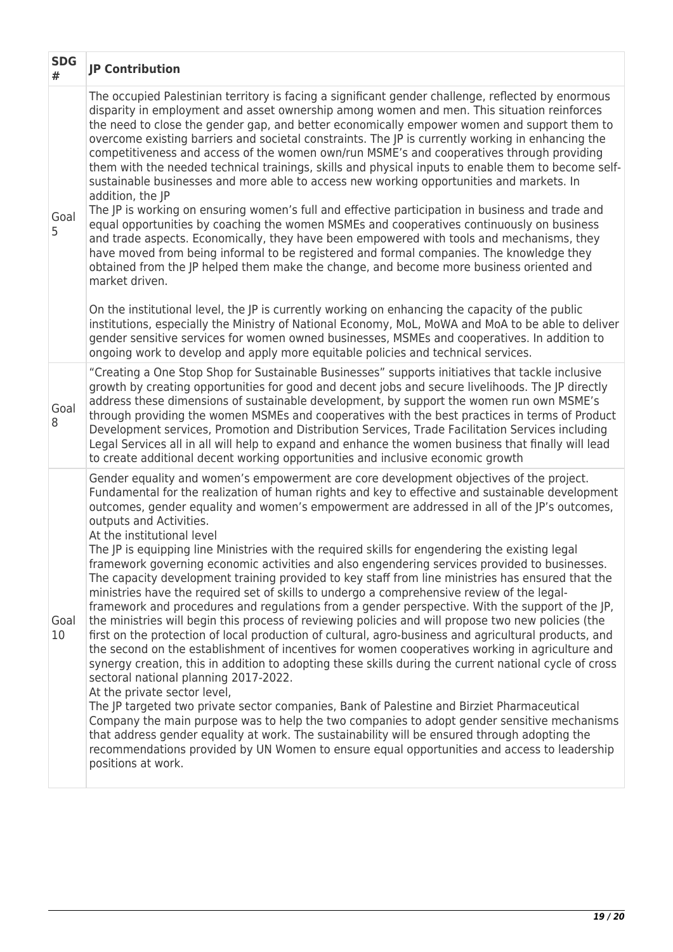| <b>SDG</b><br># | <b>JP Contribution</b>                                                                                                                                                                                                                                                                                                                                                                                                                                                                                                                                                                                                                                                                                                                                                                                                                                                                                                                                                                                                                                                                                                                                                                                                                                                                                                                                                                                                                                                                                                                                                                                                                                                                                                                                                                  |
|-----------------|-----------------------------------------------------------------------------------------------------------------------------------------------------------------------------------------------------------------------------------------------------------------------------------------------------------------------------------------------------------------------------------------------------------------------------------------------------------------------------------------------------------------------------------------------------------------------------------------------------------------------------------------------------------------------------------------------------------------------------------------------------------------------------------------------------------------------------------------------------------------------------------------------------------------------------------------------------------------------------------------------------------------------------------------------------------------------------------------------------------------------------------------------------------------------------------------------------------------------------------------------------------------------------------------------------------------------------------------------------------------------------------------------------------------------------------------------------------------------------------------------------------------------------------------------------------------------------------------------------------------------------------------------------------------------------------------------------------------------------------------------------------------------------------------|
| Goal<br>5       | The occupied Palestinian territory is facing a significant gender challenge, reflected by enormous<br>disparity in employment and asset ownership among women and men. This situation reinforces<br>the need to close the gender gap, and better economically empower women and support them to<br>overcome existing barriers and societal constraints. The JP is currently working in enhancing the<br>competitiveness and access of the women own/run MSME's and cooperatives through providing<br>them with the needed technical trainings, skills and physical inputs to enable them to become self-<br>sustainable businesses and more able to access new working opportunities and markets. In<br>addition, the JP<br>The JP is working on ensuring women's full and effective participation in business and trade and<br>equal opportunities by coaching the women MSMEs and cooperatives continuously on business<br>and trade aspects. Economically, they have been empowered with tools and mechanisms, they<br>have moved from being informal to be registered and formal companies. The knowledge they<br>obtained from the JP helped them make the change, and become more business oriented and<br>market driven.                                                                                                                                                                                                                                                                                                                                                                                                                                                                                                                                                         |
|                 | On the institutional level, the JP is currently working on enhancing the capacity of the public<br>institutions, especially the Ministry of National Economy, MoL, MoWA and MoA to be able to deliver<br>gender sensitive services for women owned businesses, MSMEs and cooperatives. In addition to<br>ongoing work to develop and apply more equitable policies and technical services.                                                                                                                                                                                                                                                                                                                                                                                                                                                                                                                                                                                                                                                                                                                                                                                                                                                                                                                                                                                                                                                                                                                                                                                                                                                                                                                                                                                              |
| Goal<br>8       | "Creating a One Stop Shop for Sustainable Businesses" supports initiatives that tackle inclusive<br>growth by creating opportunities for good and decent jobs and secure livelihoods. The JP directly<br>address these dimensions of sustainable development, by support the women run own MSME's<br>through providing the women MSMEs and cooperatives with the best practices in terms of Product<br>Development services, Promotion and Distribution Services, Trade Facilitation Services including<br>Legal Services all in all will help to expand and enhance the women business that finally will lead<br>to create additional decent working opportunities and inclusive economic growth                                                                                                                                                                                                                                                                                                                                                                                                                                                                                                                                                                                                                                                                                                                                                                                                                                                                                                                                                                                                                                                                                       |
| Goal<br>10      | Gender equality and women's empowerment are core development objectives of the project.<br>Fundamental for the realization of human rights and key to effective and sustainable development<br>outcomes, gender equality and women's empowerment are addressed in all of the JP's outcomes,<br>outputs and Activities.<br>At the institutional level<br>The JP is equipping line Ministries with the required skills for engendering the existing legal<br>framework governing economic activities and also engendering services provided to businesses.<br>The capacity development training provided to key staff from line ministries has ensured that the<br>ministries have the required set of skills to undergo a comprehensive review of the legal-<br>framework and procedures and regulations from a gender perspective. With the support of the JP,<br>the ministries will begin this process of reviewing policies and will propose two new policies (the<br>first on the protection of local production of cultural, agro-business and agricultural products, and<br>the second on the establishment of incentives for women cooperatives working in agriculture and<br>synergy creation, this in addition to adopting these skills during the current national cycle of cross<br>sectoral national planning 2017-2022.<br>At the private sector level,<br>The JP targeted two private sector companies, Bank of Palestine and Birziet Pharmaceutical<br>Company the main purpose was to help the two companies to adopt gender sensitive mechanisms<br>that address gender equality at work. The sustainability will be ensured through adopting the<br>recommendations provided by UN Women to ensure equal opportunities and access to leadership<br>positions at work. |